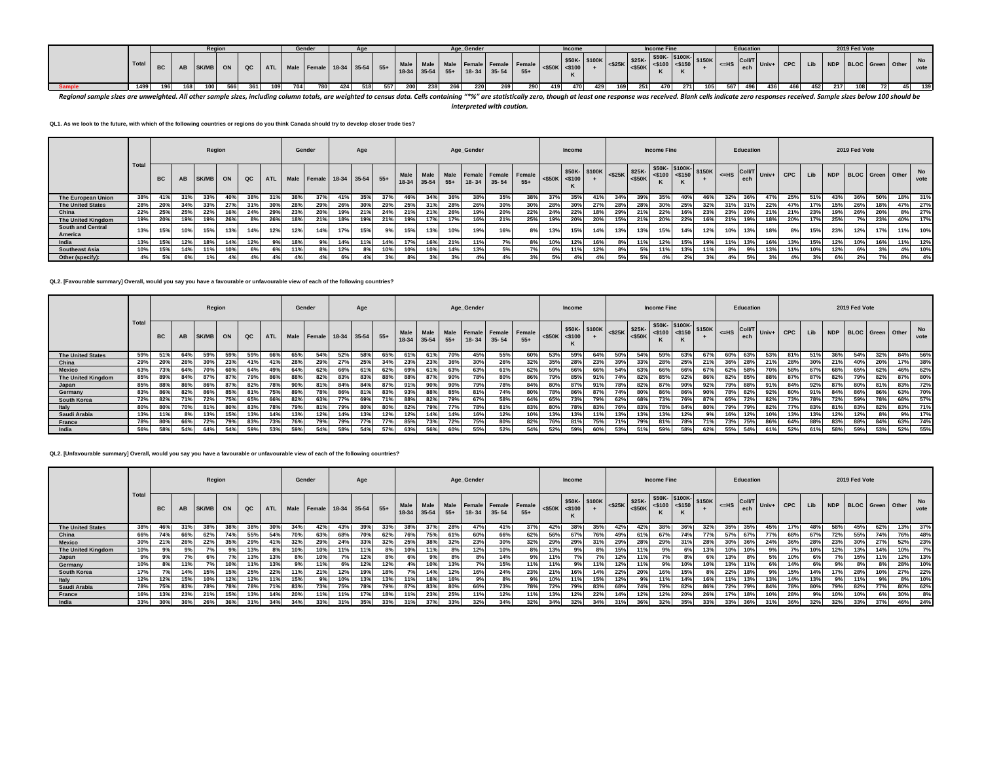|  |       |  |                | Reaior |      |     | Gender                          |     |     |     |           |       |     | Age Gender |                                                                                                                        |     | <b>Income</b> |              |     |                               | <b>Income Fine</b> |                                         |      | <b>Education</b> |                                                                                                       |             |      | 2019 Fed Vote |                      |             |  |
|--|-------|--|----------------|--------|------|-----|---------------------------------|-----|-----|-----|-----------|-------|-----|------------|------------------------------------------------------------------------------------------------------------------------|-----|---------------|--------------|-----|-------------------------------|--------------------|-----------------------------------------|------|------------------|-------------------------------------------------------------------------------------------------------|-------------|------|---------------|----------------------|-------------|--|
|  | Total |  | : IAB SK/MB ON |        | QC I |     | ATL Male Female 18-34 35-54 55+ |     |     |     | Male Male |       |     |            | Male Female Female Female $\left  \begin{array}{cc} 550K & 500 \end{array} \right $<br>18-34 35-54 55+ 18-34 35-54 55+ |     |               | \$50K-\$100K |     | $<$ \$25K \$25K-<br>$<$ \$50K | \$50K- \$100K-     | $\left  \frac{1}{25100} \right $ <\$150 |      |                  | $\begin{bmatrix} 1 & 1 \\ 1 & 1 \end{bmatrix}$ Univ+ I $\begin{bmatrix} 1 & 1 \\ 1 & 1 \end{bmatrix}$ | $\sim$ CPC. | Lib  |               | NDP BLOC Green Other | No.<br>vote |  |
|  | 14991 |  |                |        | 361  | 704 | 780                             | 424 | 518 | 557 | 200 I     | -2381 | 266 | 220        | 290                                                                                                                    | 419 | 470           |              | 169 | 251                           | 470                | - 271                                   | 5671 |                  | 436                                                                                                   | 466         | 4521 |               |                      | 139         |  |

**Sample 1499 196 168 100 566 361 109 704 780 424 518 557 200 238 266 220 269 290 419 470 429 169 251 470 271 105 567 496 436 466 452 217 108 72 45 139** *Regional sample sizes are unweighted. All other sample sizes, including column totals, are weighted to census data. Cells containing "\*%" are statistically zero, though at least one response was received. Blank cells indicate zero responses received. Sample sizes below 100 should be interpreted with caution.*

**QL1. As we look to the future, with which of the following countries or regions do you think Canada should try to develop closer trade ties?**

|                                     |                   |           |     | Region          |     |               |     | Gender |                                 |     | Age |     |                        |             |     | Age_Gender |             |                                         |                     | <b>Income</b> |     |     |                                                                           | <b>Income Fine</b> |     |                                                                        |           | Education |     |                       |     |     | 2019 Fed Vote        |     |     |            |
|-------------------------------------|-------------------|-----------|-----|-----------------|-----|---------------|-----|--------|---------------------------------|-----|-----|-----|------------------------|-------------|-----|------------|-------------|-----------------------------------------|---------------------|---------------|-----|-----|---------------------------------------------------------------------------|--------------------|-----|------------------------------------------------------------------------|-----------|-----------|-----|-----------------------|-----|-----|----------------------|-----|-----|------------|
|                                     | Tota <sub>l</sub> | <b>BC</b> | AB  | SK/MB           | ON  | $_{\alpha c}$ |     |        | ATL Male Female 18-34 35-54 55+ |     |     |     | <b>Male</b><br>$18-34$ | $35-54$ 55+ |     |            | 18-34 35-54 | Male Male Female Female Female<br>$55+$ | $<$ \$50K $<$ \$100 |               |     |     | $\frac{$50K}{400}$ $\frac{$100K}{825K}$ $\frac{$25K}{800K}$<br>$\leq$ 50K | \$50K-\$100K-      |     | $\left  \frac{1}{5100} \right $ <\$100 \esp. \times\$150K \esp. \times | $\leq$ HS |           |     | -- HS COILT Univ+ CPC | Lib |     | NDP BLOC Green Other |     |     | No<br>vote |
| The European Union                  | 38%               | 41%       | 31% | 33%             | 40% | 38%           | 31% | 38%    | 37%                             | 41% | 35% | 37% | 46%                    | 34%         | 36% | 38%        | 35%         | 38%                                     | 37%                 | 35%           | 41% | 34% | 39%                                                                       | 35%                | 40% | 46%                                                                    | 32%       | 36%       | 47% | 25%                   | 51% | 43% | 36%                  | 50% | 18% | 31%        |
| <b>The United States</b>            | 28%               | 20%       | 34% | 33%             | 27% | 31%           | 30% | 28%    | 29%                             | 26% | 30% | 29% | 25%                    | 31%         | 28% | 26%        | 30%         | 30%                                     | 28%                 | 30%           | 27% | 28% | 28%                                                                       | 30%                | 25% | 32%                                                                    |           | 31%       | 22% | 47%                   | 17% | 15% | 26%                  | 18% | 47% | 27%        |
| China                               | 22%               | 25%       | 25% | 22%             | 16% | 24%           | 29% | 23%    | 20%                             | 19% | 21% | 24% | 21%                    | 21%         | 26% | 19%        | 20%         | 22%                                     | 24%                 | 22%           | 18% | 29% | 21%                                                                       | 22%                |     | 23%                                                                    | 23%       | 20%       | 21% | 21%                   | 23% | 19% | 26%                  | 20% | 8%  | 27%        |
| The United Kingdom                  | 19%               | 20%       | 19% | 19%             | 26% | 8%            | 26% |        | 21%                             | 18% | 19% | 21% | 19%                    | 17%         | 17% | 16%        | 21%         | 25%                                     | 19%                 | 20%           | 20% | 15% | 21%                                                                       | 20%                | 22% | 16%                                                                    | 21%       | 19%       | 18% | 20%                   | 17% | 25% | 7%                   | 23% | 40% | 17%        |
| <b>South and Central</b><br>America | 13%               | 15%       | 10% | 15%             | 13% | 14%           | 12% | 12%    | 14%                             | 17% | 15% |     | 15%                    | 13%         | 10% | 19%        | 16%         |                                         | 13%                 | 15%           | 14% | 13% | 13%                                                                       | 15%                | 14% | 12%                                                                    | 10%       | 13%       | 18% | 8%                    | 15% | 23% | 12%                  | 17% | 11% | 10%        |
| India                               | 13%               | 15%       | 12% | 18%             | 14% | 12%           | 9%  |        | 9%                              | 14% | 11% | 14% | 17%                    | 16%         | 21% | 11%        | 7%          | 8%                                      |                     | 12%           | 16% |     | 11%                                                                       | 12%                | 15% | 19%                                                                    |           | 13%       | 16% | 13%                   | 15% | 12% | 10%                  | 16% |     | 12%        |
| <b>Southeast Asia</b>               | 10%               | 15%       | 14% | 11%             | 10% | 6%            | 6%  |        |                                 | 12% |     | 10% | 10%                    | 10%         | 14% | 13%        | 5%          |                                         | 6%                  | 11%           | 12% |     | 5%                                                                        | 11%                | 13% | 11%                                                                    |           | 9%        | 13% | 11%                   | 10% | 12% | 6%                   | 3%  |     | 10%        |
| Other (specify):                    |                   | 5%        | 6%  | 10 <sub>L</sub> | 4%  | 4%            | 4%  |        | 4%                              | 6%  |     |     |                        | 3%          |     |            | 4%          |                                         | 5%                  |               |     | 5%  |                                                                           |                    |     | 3%                                                                     |           | 5%        |     |                       |     |     | 2%                   |     | 8%  | 4%         |

# **QL2. [Favourable summary] Overall, would you say you have a favourable or unfavourable view of each of the following countries?**

|                          |      |           |     | Region |     |     |     |     | Gender                          |     | Age |     |      |     |     | Age_Gender                  |                                        |       |                      | <b>Income</b> |     |            |           | <b>Income Fine</b> |     |     |                                                                    | Education |     |     |     |     | 2019 Fed Vote        |     |     |            |
|--------------------------|------|-----------|-----|--------|-----|-----|-----|-----|---------------------------------|-----|-----|-----|------|-----|-----|-----------------------------|----------------------------------------|-------|----------------------|---------------|-----|------------|-----------|--------------------|-----|-----|--------------------------------------------------------------------|-----------|-----|-----|-----|-----|----------------------|-----|-----|------------|
|                          | Tota | <b>BC</b> | AB  | SK/MB  | ON  | QC  |     |     | ATL Male Female 18-34 35-54 55+ |     |     |     | Male |     |     | 18-34 35-54 55+ 18-34 35-54 | Male   Male   Female   Female   Female | $55+$ | $<$ \$50K $ $ <\$100 | K             |     |            | $<$ \$50K |                    |     |     | $\leq$ HS $\left \frac{\text{Coll/T}}{\text{Coll/T}}\right $ Univ+ | ech       |     | CPC | Lib |     | NDP BLOC Green Other |     |     | No<br>vote |
| <b>The United States</b> | 59%  | 51%       | 64% | 59%    | 59% | 59% | 66% | 65% | 54%                             | 52% | 58% | 65% | 61%  | 61% | 70% | 45%                         | 55%                                    | 60%   | 53%                  | 59%           | 64% | 50%        | 54%       | 59%                | 63% | 67% | 60%                                                                | 63%       | 53% | 81% | 51% | 36% | 54%                  | 32% | 84% | 56%        |
| China                    | 29%  | 20%       | 26% | 30%    | 23% | 41% | 41% | 28% | 29%                             | 27% | 25% | 34% | 23%  | 23% | 36% | 30%                         | 26%                                    | 32%   | 35%                  | 28%           | 23% | 39%        | 33%       | 28%                | 25% | 21% | 36%                                                                | 28%       | 21% | 28% | 30% | 21% | 40%                  | 20% | 17% | 38%        |
| <b>Mexico</b>            | 63%  | 73%       | 64% | 70%    | 60% | 64% | 49% | 64% | 62%                             | 66% | 61% | 62% | 69%  | 61% | 63% | 63%                         | 61%                                    | 62%   | 59%                  | 66%           | 66% | 54%        | 63%       | 66%                | 66% | 67% | 62%                                                                | 58%       | 70% | 58% | 67% | 68% | 65%                  | 62% |     | 46% 62%    |
| The United Kingdom       | 85%  | 89%       | 84% | 87%    | 87% | 79% | 86% | 88% | 82%                             | 83% | 83% | 88% | 88%  | 87% | 90% | 78%                         | 80%                                    | 86%   |                      | 85%           | 91% | 74%        | 82%       | 85%                | 92% | 86% | 82%                                                                | 85%       | 88% | 87% | 87% | 82% | 79%                  | 82% |     | 87% 80%    |
| Japan                    | 85%  | 88%       | 86% | 86%    | 87% | 82% | 78% | 90% | 81%                             | 84% | 84% | 87% | 91%  | 90% | 90% | 79%                         | 78%                                    | 84%   | 80%                  | 87%           | 91% | 78%        | 82%       | 87%                | 90% | 92% | 79%                                                                | 88%       | 91% | 84% | 92% | 87% | 80%                  | 81% | 83% | 72%        |
| Germany                  | 83%  | 86%       | 82% | 86%    | 85% | 81% | 75% | 89% | 78%                             | 86% | 81% | 83% | 93%  | 88% | 85% | 81%                         | 74%                                    | 80%   |                      | 86%           | 87% | 74%        | 80%       | 86%                | 86% | 90% | 78%                                                                | 82%       | 92% | 80% | 91% | 84% | 86%                  | 86% | 63% | 70%        |
| South Korea              | 72%  | 82%       |     | 72%    | 75% | 65% | 66% | 82% | 63%                             | 77% | 69% | 71% | 88%  | 82% | 79% | 67%                         | 58%                                    | 64%   | 65%                  | 73%           | 79% | 62%        | 68%       | 73%                | 76% | 87% | 65%                                                                | 72%       | 82% | 73% | 78% | 72% | 59%                  | 78% | 68% | 57%        |
| Italy                    | 80%  | 80%       |     | 81%    | 80% | 83% | 78% | 79% | 81%                             | 79% | 80% | 80% | 82%  | 79% | 77% | 78%                         | 81%                                    | 83%   | 80%                  | 78%           | 83% | <b>76%</b> | 83%       | 78%                | 84% | 80% | 79%                                                                | 79%       | 82% | 77% | 83% |     | 83%                  | 82% | 83% | 71%        |
| Saudi Arabia             | 13%  | 11%       | 8%  | 13%    | 15% | 13% | 14% | 13% | 12%                             | 14% | 13% | 12% | 12%  | 14% | 14% | 16%                         | 12%                                    | 10%   |                      | 13%           | 11% | 13%        | 13%       | 13%                | 12% |     |                                                                    | 12%       | 10% | 13% | 13% | 12% | 12%                  | 8%  | 9%  | 17%        |
| France                   | 78%  | 80%       | 66% | 72%    | 79% | 83% | 73% | 76% | 79%                             | 79% | 77% | 77% | 85%  | 73% | 72% | 75%                         | 80%                                    | 82%   |                      | 81%           | 75% | 71%        | 79%       | 81%                | 78% | 71% | 73%                                                                | 75%       | 86% | 64% | 88% | 83% | 88%                  | 84% | 63% | 74%        |
| India                    | 56%  | 58%       | 54% | 64%    | 54% | 59% | 53% | 59% | 54%                             | 58% | 54% | 57% | 63%  | 56% | 60% | 55%                         | 52%                                    | 54%   | 52%                  | 59%           | 60% | 53%        | 51%       | 59%                | 58% | 62% | 55%                                                                | 54%       | 61% | 52% | 61% | 58% | 59%                  | 53% |     | 52% 55%    |

**QL2. [Unfavourable summary] Overall, would you say you have a favourable or unfavourable view of each of the following countries?**

|                          |       |           |       | Region   |     |     |            | Gender |                             |     | Age |     |             |     |     | Age_Gender |                                                          |       |                       | <b>Income</b> |     |     |           | <b>Income Fine</b> |                                                 |     |     | <b>Education</b> |                                                         |     |     |     | 2019 Fed Vote        |     |     |            |
|--------------------------|-------|-----------|-------|----------|-----|-----|------------|--------|-----------------------------|-----|-----|-----|-------------|-----|-----|------------|----------------------------------------------------------|-------|-----------------------|---------------|-----|-----|-----------|--------------------|-------------------------------------------------|-----|-----|------------------|---------------------------------------------------------|-----|-----|-----|----------------------|-----|-----|------------|
|                          | Total | <b>BC</b> | AB    | SK/MB ON |     | QC  | <b>ATL</b> |        | Male Female 18-34 35-54 55+ |     |     |     | 18-34 35-54 |     |     |            | Male Male Male Female Female Female<br>$55+$ 18-34 35-54 | $55+$ | $ $ <\$50K $ $ <\$100 |               |     |     | $<$ \$50K |                    | $$50K-$ \$100K $$25K$ \$25K \$50K \$100K \$150K |     |     | ech              | $\left  \right $ <=HS $\left  \right $ Coll/T Univ+ CPC |     | Lib |     | NDP BLOC Green Other |     |     | No<br>vote |
| <b>The United States</b> | 38%   | 46%       | - 31% | 38%      |     |     | 30%        | 34%    | 42%                         | 43% | 39% | 33% | 38%         | 37% | 28% | 47%        | 41%                                                      | 37%   | 42%                   | 38%           | 35% | 42% | 42%       | 38%                | 36%                                             | 32% | 35% | 35%              | 45%                                                     | 17% | 48% | 58% | 45%                  | 62% | 13% | 37%        |
| China                    | 66%   | 74%       | 66%   | 62%      | 74% | 55% | 54%        | 70%    | 63%                         | 68% | 70% | 62% | 76%         | 75% | 61% | 60%        | 66%                                                      | 62%   | 56%                   | 67%           | 76% | 49% |           | 67%                |                                                 |     |     |                  | 77%                                                     | 68% | 67% | 72% | 55%                  | 74% | 76% | 48%        |
| <b>Mexico</b>            | 30%   | 21%       | 26%   | 22%      | 35% | 29% | 41%        | 32%    | 29%                         | 24% | 33% | 32% | 25%         | 38% | 32% | 23%        | 30%                                                      | 32%   | 29%                   | 29%           | 31% | 29% | 28%       | 29%                |                                                 | 28% | 30% |                  | 24%                                                     | 36% | 28% | 23% | 30%                  | 27% | 52% | 23%        |
| The United Kingdom       | 10%   | 9%        | 9%    |          | 9%  | 13% | 8%         | 10%    | 10%                         | 11% | 11% | 8%  | 10%         |     | 8%  | 12%        | 10%                                                      | 8%    | 13%                   | 9%            |     | 15% | 11%       |                    |                                                 | 13% | 10% | 10%              |                                                         |     | 10% | 12% | 13%                  | 14% | 10% | 7%         |
| Japan                    | 9%    | 9%        | 7%    | 6%       |     | 13% | 13%        |        | 10%                         |     | 12% | 8%  | 6%          | 9%  | 8%  | 8%         | 14%                                                      | 9%    |                       |               |     | 12% | 11%       |                    |                                                 |     | 13% | 8%               | 5%                                                      | 10% |     |     | 15%                  | 11% | 12% | 13%        |
| Germany                  | 10%   | 8%        | 11%   |          | 10% |     | 13%        |        | 11%                         |     | 12% | 12% | 4%          | 10% | 13% | 7%         | 15%                                                      | 11%   |                       | 9%            | 11% | 12% | 11%       |                    | 10%                                             |     | 13% |                  | 6%                                                      | 14% |     |     |                      | 8%  | 28% | 10%        |
| South Korea              | 17%   |           | 14%   | 15%      | 15% | 25% | 22%        | 11%    | 21%                         | 12% |     | 18% |             | 14% | 12% | 16%        | 24%                                                      | 23%   | 21%                   | 16%           | 14% | 22% | 20%       | 16%                | 15%                                             |     | 22% | 18%              |                                                         | 15% | 14% | 17% | 28%                  | 10% | 27% | 22%        |
| Italy                    | 12%   | 12%       | 15%   | 10%      |     | 12% | 11%        | 15%    |                             | 10% | 13% | 13% | 11%         | 18% | 16% | 9%         | 8%                                                       | 9%    |                       |               | 15% | 12% |           | 11%                | 14%                                             |     |     | 13%              | 13%                                                     | 14% | 13% |     | 11%                  | 9%  | 8%  | 10%        |
| Saudi Arabia             | 78%   | 75%       | 83%   | 78%      | 78% | 78% | 71%        | 83%    | 73%                         | 75% | 78% | 79% | 87%         | 83% | 80% | 66%        | 73%                                                      | 78%   | 72%                   | 79%           | 83% | 68% | 74%       | 79%                | 82%                                             | 86% | 72% | 79%              | 84%                                                     | 78% | 80% | 79% | 82%                  | 77% |     | 80% 62%    |
| France                   | 16%   | 13%       | 23%   | 21%      | 15% | 13% | 14%        | 20%    | 11%                         | 11% | 17% | 18% | 11%         | 23% | 25% | 11%        | 12%                                                      | 11%   |                       | 12%           | 22% | 14% | 12%       | 12%                | 20%                                             | 26% |     | 18%              | 10%                                                     | 28% | 9%  | 10% | 10%                  | 6%  | 30% | 8%         |
| India                    | 33%   | 30%       | 36%   | 26%      |     |     | 34%        | 34%    | 33%                         | 31% | 35% | 33% | 31%         |     |     | 32%        | 34%                                                      | 32%   | 34%                   | 32%           | 34% | 31% |           | 32%                |                                                 | 33% | 33% | 36%              | 31%                                                     | 36% | 32% | 32% | 33%                  | 37% |     | 46% 24%    |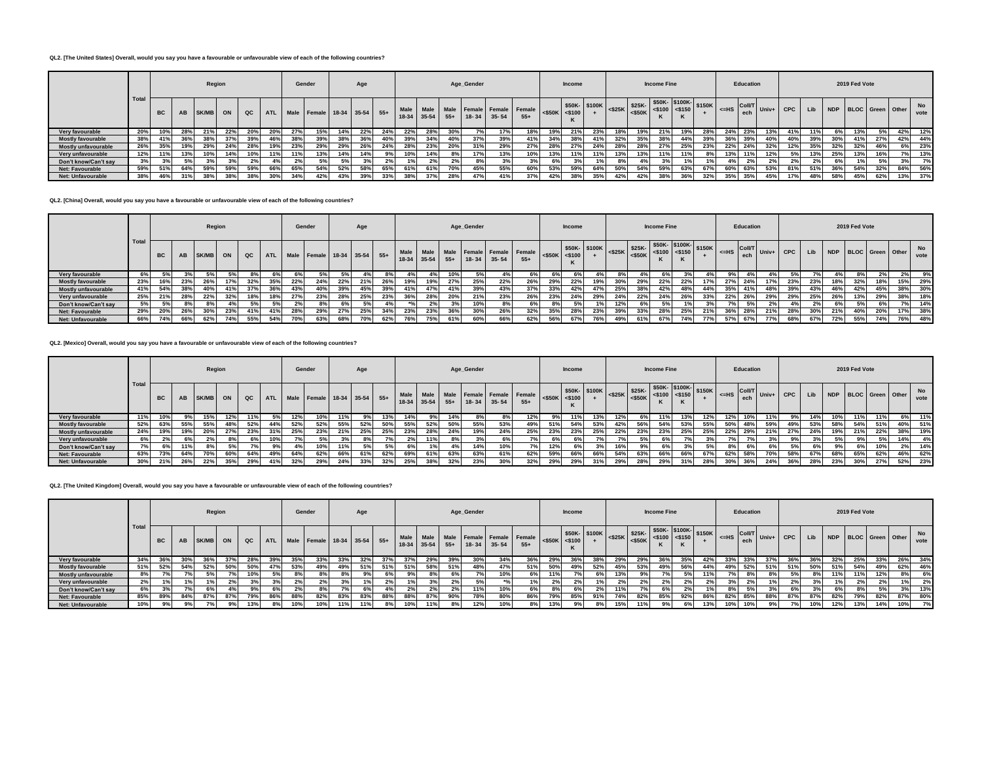## **QL2. [The United States] Overall, would you say you have a favourable or unfavourable view of each of the following countries?**

|                          |       |           |           | Region |     |     |     |     | Gender                          |     | Age |                 |                   |     |     | Age_Gender |                                                          |       |                                   | Income |                                                                                                                                                                                                                                                                                                     |     |     | <b>Income Fine</b> |     |     |            | Education |     |     |     |     | 2019 Fed Vote |                      |     |            |
|--------------------------|-------|-----------|-----------|--------|-----|-----|-----|-----|---------------------------------|-----|-----|-----------------|-------------------|-----|-----|------------|----------------------------------------------------------|-------|-----------------------------------|--------|-----------------------------------------------------------------------------------------------------------------------------------------------------------------------------------------------------------------------------------------------------------------------------------------------------|-----|-----|--------------------|-----|-----|------------|-----------|-----|-----|-----|-----|---------------|----------------------|-----|------------|
|                          | Total | <b>BC</b> | <b>AB</b> | SK/MB  | ON  | QC  |     |     | ATL Male Female 18-34 35-54 55+ |     |     |                 | $18-34$ 35-54 55+ |     |     |            | Male Male Male Female Female Female<br>$18 - 34$ 35 - 54 | $55+$ | $ \texttt{<$50K} \texttt{<$100} $ |        | $\begin{array}{ c c c c c c c c } \hline & $50K$ & $50K$ & $500K$ & $5100$ & $5150$ & $5100$ & $5150$ & $5150$ & $5150$ & $5150$ & $5150$ & $5150$ & $5150$ & $5150$ & $5150$ & $5150$ & $5150$ & $5150$ & $5150$ & $5150$ & $5150$ & $5150$ & $5150$ & $5150$ & $5150$ & $5150$ & $5150$ & $5150$$ |     |     |                    |     |     | $=$ HS ech |           |     |     | Lib |     |               | NDP BLOC Green Other |     | No<br>vote |
| Very favourable          | 20%   | 10%       |           | 21%    | 22% | 20% | 20% | 27% | 15%                             | 14% | 22% | 24 <sup>°</sup> | 22%               | 28% | 30% |            | 17%                                                      | 18%   | 19%                               | 21%    | 23%                                                                                                                                                                                                                                                                                                 | 18% | 19% | 21%                | 19% |     | 24.        | 23%       | 13% | 41% | 11% | 6%  | 13%           |                      | 42% | 12%        |
| <b>Mostly favourable</b> | 38%   | 41%       | 36%       | 38%    | 37% | 39% | 46% | 38% | 39%                             | 38% | 36% |                 | 39%               | 34% | 40% | 37%        | 39%                                                      | 41%   | 34%                               | 38%    | 41%                                                                                                                                                                                                                                                                                                 | 32% | 35% | 38%                | 44% | 39% | 200        | 39%       | 40% | 40% | 39% | 30% | 41%           | 27%                  | 42% | 44%        |
| Mostly unfavourable      | 26%   | 35%       | 19%       | 29%    | 24% | 28% | 19% | 23% | 29%                             | 29% | 26% | 24%             | 28%               | 23% | 20% | 31%        | 29%                                                      | 27%   | 28%                               | 27%    | 24%                                                                                                                                                                                                                                                                                                 | 28% | 28% | 27%                | 25% | 23% | 22%        | 24%       | 32% | 12% | 35% | 32% | 32%           | 46%                  | 6%  | 23%        |
| Very unfavourable        | 12%   | 11%       | 13%       | 10%    | 14% | 10% | 11% | 11% | 13%                             | 14% | 14% | 9%              | 10%               | 14% | 8%  | 17%        | 13%                                                      | 10%   | 13%                               | 11%    | 11%                                                                                                                                                                                                                                                                                                 | 13% | 13% |                    | 11% |     |            | 11%       | 12% | 5%  | 13% | 25% | 13%           | 16%                  | 7%  | 13%        |
| Don't know/Can't say     | 3%    | 3%        | 5%        |        | 3%  |     |     | 2%  | 5%                              | 5%  | 3%  |                 |                   | 2%  | 2%  | 8%         |                                                          |       |                                   |        | 10                                                                                                                                                                                                                                                                                                  | 8%  | 4%  | 3%                 |     |     |            | 2%        | 2%  | 2%  | 2%  | 6%  |               | 5%                   | 3%  | 7%         |
| <b>Net: Favourable</b>   | 59%   | 51%       | 64%       | 59%    | 59% | 59% | 66% | 65% | 54%                             | 52% | 58% | 65%             | 61%               | 61% | 70% | 45%        | 55%                                                      | 60%   | 53%                               | 59%    | 64%                                                                                                                                                                                                                                                                                                 | 50% | 54% | 59%                | 63% | 67% | 60°        | 63%       | 53% | 81% | 51% | 36% | 54%           | 32%                  | 84% | 56%        |
| <b>Net: Unfavourable</b> | 38%   | 46%       | 31%       | 38%    | 38% | 38% | 30% | 34% | 42%                             | 43% | 39% | 33%             | 38%               | 37% | 28% | 47%        | 41%                                                      | 37%   | 42%                               | 38%    | 35%                                                                                                                                                                                                                                                                                                 | 42% | 42% | 38%                | 36% | 32% | 35%        | 35%       | 45% | 17% | 48% | 58% | 45%           | 62%                  | 13% | 37%        |

**QL2. [China] Overall, would you say you have a favourable or unfavourable view of each of the following countries?**

|                          |      |           |           |       | Region |               |            |      | Gender                      |     | Age        |     |       |       |       | Age_Gender |           |                                              |                     | Income |              |     |                         | <b>Income Fine</b>                                |     |                                       |              | Education |            |     |     |            | 2019 Fed Vote |                         |     |            |
|--------------------------|------|-----------|-----------|-------|--------|---------------|------------|------|-----------------------------|-----|------------|-----|-------|-------|-------|------------|-----------|----------------------------------------------|---------------------|--------|--------------|-----|-------------------------|---------------------------------------------------|-----|---------------------------------------|--------------|-----------|------------|-----|-----|------------|---------------|-------------------------|-----|------------|
|                          | Tota | <b>BC</b> | <b>AB</b> | SK/MB | ON     | $_{\alpha c}$ | <b>ATL</b> |      | Male Female 18-34 35-54 55+ |     |            |     | 18-34 | 35-54 | $55+$ | $18 - 34$  | $35 - 54$ | Male Male Male Female Female Female<br>$55+$ | $<$ \$50K $<$ \$100 |        | \$50K-\$100K |     | $\frac{1}{525K}$ \$25K- | $-825K$ $ $ $<$ \$50K $ $ $<$ \$100 $ $ $<$ \$150 |     | $\frac{1}{2}$   \$50K- \$100K- \$150K | $\leq$ HS    | ech       |            |     | Lib | <b>NDP</b> |               | <b>BLOC</b> Green Other |     | No<br>vote |
| Very favourable          | 6%   | 5%        |           |       |        |               | 6%         | 6% L |                             |     |            | 8%  |       |       | 10%   | 5%         |           | 6%                                           | 6%1                 |        |              |     | $4\%$                   | 6%                                                |     |                                       | У‰ ∣         | $4\%$     |            |     |     | 4% I       |               |                         |     | 9%         |
| <b>Mostly favourable</b> | 23%  | 16%       | 23%       | 26%   | 17%    | 32%           | 35%        | 22%  | 24%                         | 22% | 21%        | 26% | 19%   | 19%   | 27%   | 25%        | 22%       | 26%                                          | 29%                 | 22%    | 19%          | 30% | 29%                     | 22%                                               | 22% | 17%                                   | $27^{\circ}$ | 24%       |            | 23% | 23% | 18%        | 32%           | 18%                     | 15% | 29%        |
| Mostly unfavourable      | 41%  | 54%       | 38%       | 40%   | 41%    | 37%           | 36%        | 43%  | 40%                         | 39% | 45%        | 39% | 41%   | 47%   | 41%   | 39%        | 43%       | 37%                                          | 33%                 | 42%    | 47%          | 25% | 38%                     | 42%                                               | 48% |                                       | 35%          | 41%       |            | 39% | 43% | 46%        | 42%           | 45%                     | 38% | 30%        |
| Very unfavourable        | 25%  | 21%       | 28%       | 22%   | 32%    | 18%           | 18%        | 27%  | 23%                         | 28% | 25%        | 23% | 36%   | 28%   | 20%   | 21%        | 23%       | 26%                                          | 23%                 | 24%    | 29%          | 24% | 22%                     | 24%                                               | 26% | 33%                                   | 22%          | 26%       | 29%        | 29% | 25% | 26%        | 13%           | 29%                     | 38% | 18%        |
| Don't know/Can't say     | 5%   | 5%        | 8%        | 8%    |        | 5%            | 5%         | 2%   | -8%                         | 6%  | 5%         |     |       | 2%    | 3%    | 10%        |           | 6%                                           | 8%                  |        |              | 12% | 6%                      | 5%                                                |     |                                       |              | 5%        |            |     | 2%  | 6%         | 5%            |                         | 7%  | 14%        |
| Net: Favourable          | 29%  | 20%       | 26%       | 30%   | 23%    | 41%           | 41%        | 28%  | 29%                         | 27% | 25%        | 34% | 23%   | 23%   | 36%   | 30%        | 26%       | 32%                                          | 35%                 | 28%    | 23%          | 39% | 33%                     | 28%                                               | 25% | 21%                                   | 36%          | 28%       | 21%        | 28% | 30% | 21%        | 40%           | 20%                     | 17% | 38%        |
| <b>Net: Unfavourable</b> | 66%  | 74%       | 66%       | 62%   | 74%    | 55%           | 54%        | 70%  | 53%                         | 68% | <b>70%</b> | 62% | 76%   | 75%   | 61%   | 60%        | 66%       | 62%                                          | 56%                 | 67%    | 76%          | 49% | 61%                     | 67%                                               | 74% | 77%                                   | 57%          | 67%       | <b>77%</b> | 68% | 67% | 72%        | 55%           | 74%                     | 76% | 48%        |

**QL2. [Mexico] Overall, would you say you have a favourable or unfavourable view of each of the following countries?**

|                          |       |           |      | Region |     |     |            |     | Gender                      |     | Age |     |      |     |     | Age_Gender |                             |                                         |                       | Income |              |     |                                 | <b>Income Fine</b>                                           |     |     |                                             | Education |                                                        |     |     |     | 2019 Fed Vote |                      |     |            |
|--------------------------|-------|-----------|------|--------|-----|-----|------------|-----|-----------------------------|-----|-----|-----|------|-----|-----|------------|-----------------------------|-----------------------------------------|-----------------------|--------|--------------|-----|---------------------------------|--------------------------------------------------------------|-----|-----|---------------------------------------------|-----------|--------------------------------------------------------|-----|-----|-----|---------------|----------------------|-----|------------|
|                          | Total | <b>BC</b> |      | SK/MB  | ON  |     | <b>ATL</b> |     | Male Female 18-34 35-54 55+ |     |     |     | Male |     |     |            | 18-34 35-54 55+ 18-34 35-54 | Male Male Female Female Female<br>$55+$ | $<$ \$50K $\le$ \$100 | K      | \$50K-\$100K |     | $ \text{<}$ \$25K $ $ \$25K $ $ | $$50K - $100K - $150K$<br>$ 525K$ $550K$ $ 5100$ $ 5150$ $-$ |     |     | $\leq$ =HS $\frac{\text{Coul}}{\text{ech}}$ |           | $\overline{\text{CoII/T}}$ Univ+ $\overline{\text{I}}$ | CPC | Lib |     |               | NDP BLOC Green Other |     | No<br>vote |
| Very favourable          | 11%   | 10%       |      | 15%    | 12% | 11% |            | 12% | 10%                         | 11% | 9%1 | 13% | 14%  | 9%  | 14% | ୪%         |                             | 12%                                     | 9%                    | 11%    | 13%          |     | 6%                              | 11%                                                          | 13% | 12% | 12%                                         |           | 11%                                                    |     | 14% | 10% | 11%           | 11%                  | 6%  | 11%        |
| <b>Mostly favourable</b> | 52%   | 63%       | 55%  | 55%    | 48% | 52% | 44%        | 52% | 52%                         | 55% | 52% | 50% | 55%  | 52% | 50% | 55%        | 53%                         | 49%                                     | 51%                   | 54%    | 53%          | 42% | 56%                             | 54%                                                          | 53% | 55% | 50%                                         | 48%       | 59%                                                    | 49% | 53% | 58% | 54%           | 51%                  | 40% | 51%        |
| Mostly unfavourable      | 24%   | 19%       | 19%  | 20%    | 27% | 23% | 31%        | 25% | 23%                         | 21% | 25% | 25% | 23%  | 28% | 24% | 19%        | 24%                         | 25%                                     | 23%                   | 23%    | 25%          | 22% | 23%                             | 23%                                                          | 25% | 25% | 22%                                         | 29%       | 21%                                                    | 27% | 24% | 19% | 21%           | 22%                  | 38% | 19%        |
| Very unfavourable        | 6%    | 2%1       | 6% l | 2%     | 8%  | 6%  | 10%        | 7%  | 5%                          | 3%  |     | 70/ | 2%   | 11% | 8%  | 3%         | 6%                          | 701                                     | 6% 1                  | 6%     | 70           |     | 5%                              | 6%                                                           |     | 3%  | 70/                                         | 70        |                                                        | 9%  | 3%  | 5%  | 9%            | 5%                   | 14% | 4%         |
| Don't know/Can't say     | 7%    |           | 11%  |        |     | 7%  | 9%         | 4%  | 10%                         | 11% | 5%  |     |      |     | 4%  | 14%        | 10%                         |                                         | 12%                   | 6%     |              |     | 9%                              | 6%                                                           |     |     |                                             | 6%        |                                                        | 5%  |     |     |               | 10%                  | 2%  | 14%        |
| Net: Favourable          | 63%   | 73%       | 64%  |        | 60% | 64% | 49%        | 64% | 62%                         | 66% | 61% | 62% | 69%  | 61% | 63% | 63%        | 61%                         | 62%                                     | 59%                   | 66%    | 66%          | 54% | 63%                             | 66%                                                          | 66% | 67% | 62%                                         | 58%       | 70%                                                    | 58% | 67% | 68% | 65%           | 62%                  | 46% | 62%        |
| <b>Net: Unfavourable</b> |       | 21%       | 26%  | 22%    | 35% | 29% | 41%        | 32% | 29%                         | 24% | 33% | 32% | 25%  | 38% | 32% | 23%        | 30%                         | 32%                                     | 29%                   | 29%    | 31%          | 29% | 28%                             | 29%                                                          | 31% | 28% | 30%                                         | 36%       | 24%                                                    | 36% | 28% | 23% | 30%           | 27%                  | 52% | 23%        |

**QL2. [The United Kingdom] Overall, would you say you have a favourable or unfavourable view of each of the following countries?**

|                            |                                                           |     |     | Region                   |     |       |            |     | Gender                      |     | Age |     |                     |     |       | Age_Gender    |                                 |                                         |                     | <b>Income</b> |              |     |      | <b>Income Fine</b> |     |     |                    | Education |       |            |     |     | 2019 Fed Vote |     |                      |            |
|----------------------------|-----------------------------------------------------------|-----|-----|--------------------------|-----|-------|------------|-----|-----------------------------|-----|-----|-----|---------------------|-----|-------|---------------|---------------------------------|-----------------------------------------|---------------------|---------------|--------------|-----|------|--------------------|-----|-----|--------------------|-----------|-------|------------|-----|-----|---------------|-----|----------------------|------------|
|                            | Total<br><b>BC</b><br>34%<br>51%<br>8%<br>2%<br>6%<br>85% |     | AB  | SK/MB                    | ON  | $-QC$ | <b>ATL</b> |     | Male Female 18-34 35-54 55+ |     |     |     | Male<br>18-34 35-54 |     | $55+$ | $18-34$ 35-54 |                                 | Male Male Female Female Female<br>$55+$ | $<$ \$50K $<$ \$100 | K             | \$50K-\$100K |     |      |                    |     |     | $I \leq HS$ Coll/T | ech       | Univ+ | <b>CPC</b> | Lib |     |               |     | NDP BLOC Green Other | No<br>vote |
| Very favourable            |                                                           | 36% | 30% | 36%                      | 37% | 28%   | 39%        | 35% | 33%                         | 33% | 32% |     | 37%                 | 29% | 39%   | 30%           | 34%                             | 36%                                     | 29%                 |               | 38%          | 29% | 29%  | 36%                | 35% | 42% | 33 <sup>°</sup>    | 33%       | -37%  | 36%        | 36% | 32% | 25%           | 33% | 26%                  | 34%        |
| <b>Mostly favourable</b>   |                                                           | 52% | 54% | 52%                      | 50% | 50%   | 47%        | 53% | 49%                         | 49% | 51% | 51% | 51%                 | 58% | 51%   | 48%           | 47%                             | 51%                                     | 50%                 | 49%           | 52%          | 45% | 53%  | 49%                |     | 44% | 49%                | 52%       | 51%   | 51%        | 50% | 51% | 54%           | 49% | 62%                  | 46%        |
| <b>Mostly unfavourable</b> |                                                           |     |     |                          | 7%  | 10%   |            | 8%  |                             |     |     |     |                     |     | 6%    | 7%            | 10%                             | 6% l                                    | 11%                 |               | 6%           | 13% | 9%   | $\sim$             |     | 11% |                    |           |       |            | 8%  |     | 11%           | 12% |                      | 6%         |
| Very unfavourable          |                                                           |     |     | 1%                       | 2%  | 3%    |            | 2%  | 2%                          | 3%  |     |     | 40                  | 3%  | 2%    | 5%            | $*$ <sup>0</sup> / <sub>0</sub> | 1%                                      |                     |               | 1%           | 2%  | 2%   | 2%                 | 2%  | 2%  |                    | 2%        | 1%    | 2%         | 3%  |     |               | 2%  | 1%                   | 2%         |
| Don't know/Can't sav       |                                                           |     |     | 6%                       | 4%  | 9%    | 6%         | 2%  |                             | 7%  | 6%  |     | 2%                  | 2%  | 2%    | 11%           | 10%                             | 6%                                      |                     |               | 2%           | 11% | 70/2 | 6%                 | 2%  |     |                    |           | 20I   | 6%         | 3%  | 6%  |               | 5%  | 3%                   | 13%        |
| <b>Net: Favourable</b>     | 10%                                                       |     |     | 87%                      | 87% | 79%   | 86%        | 88% | 82%                         | 83% | 83% | 88% | 88%                 | 87% | 90%   | 78%           | 80%                             | 86%                                     | 79%                 | 85%           | 91%          | 74% | 82%  | 85%                | 92% |     | 82%                | 85%       | 88%   | 87%        | 87% | 82% | 79%           | 82% | 87%                  | 80%        |
| <b>Net: Unfavourable</b>   |                                                           |     |     | $\overline{\phantom{a}}$ | 9%  | 13%   |            |     | 10%                         | 11% | 11% |     | 10%                 | 11% | 8%    | 12%           | 10%                             | 8% l                                    | 13%                 |               |              | 15% |      |                    |     | 13% |                    |           |       | 7%         | 10% | 12% | 13%           | 14% | 10%                  | 7%         |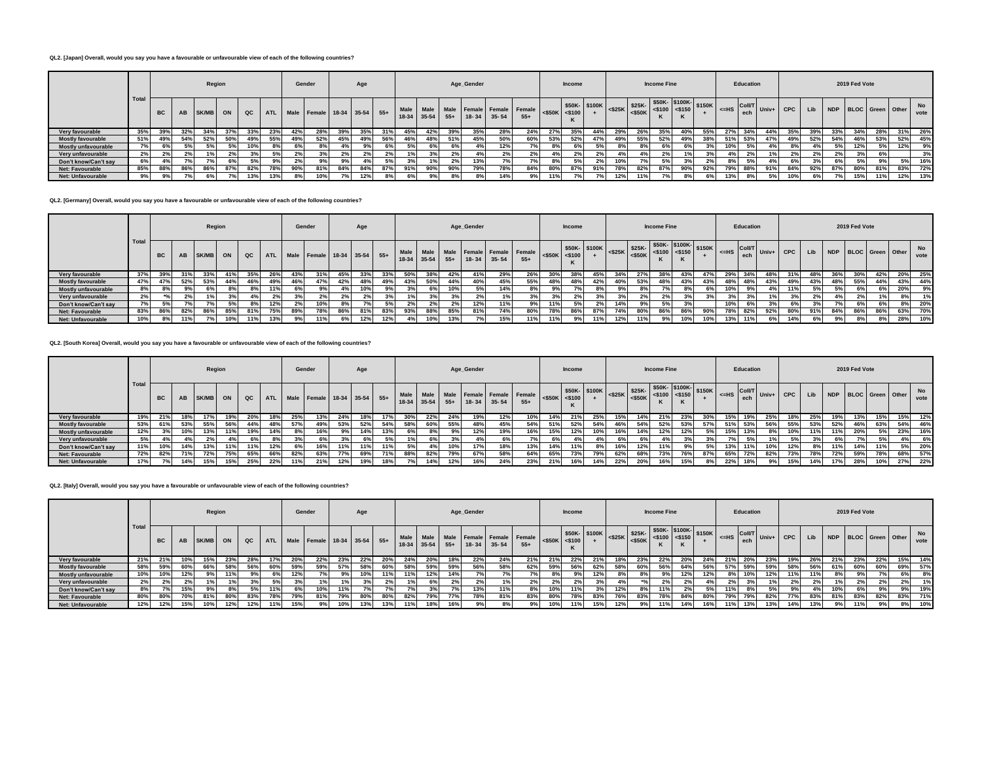## **QL2. [Japan] Overall, would you say you have a favourable or unfavourable view of each of the following countries?**

|                          |       |                            |           |       | Region |             |            |     | Gender                              |                | Age |     |       |       |     | Age_Gender        |     |                                              |           | Income               |                                                                                                                                                                                                                                                                      |     |     | <b>Income Fine</b> |     |       |                    | Education |     |       |     |     | 2019 Fed Vote        |     |     |            |
|--------------------------|-------|----------------------------|-----------|-------|--------|-------------|------------|-----|-------------------------------------|----------------|-----|-----|-------|-------|-----|-------------------|-----|----------------------------------------------|-----------|----------------------|----------------------------------------------------------------------------------------------------------------------------------------------------------------------------------------------------------------------------------------------------------------------|-----|-----|--------------------|-----|-------|--------------------|-----------|-----|-------|-----|-----|----------------------|-----|-----|------------|
|                          | Total | <b>BC</b>                  | <b>AB</b> | SK/MB | ON     | $_{\rm QC}$ | <b>ATL</b> |     | Male   Female   18-34   35-54   55+ |                |     |     | 18-34 | 35-54 |     | $55+$ 18-34 35-54 |     | Male Male Male Female Female Female<br>$55+$ | $<$ \$50K | $\frac{1}{2}$ <\$100 | $ \cdot $ <\$25K \\ \espace\$25K \espace\$25K \espace\$100 \espace\$150 \espace\$150 \espace\$150 \espace\$150 \espace\$150 \espace\$150 \espace\$150 \espace\$150 \espace\$150 \espace\$150 \espace\$150 \espace\$150 \espace\$150 \espace\$150 \e<br>\$50K- \$100K |     |     | n.                 |     |       | $=$ HS ech $\vert$ |           |     |       | Lib |     | NDP BLOC Green Other |     |     | No<br>vote |
| Very favourable          | 35%   | 39%                        | 32%       | 34%   | 37%    | 33%         | 23%        | 42% | 28%                                 | 39%            | 35% | 31% | 45%   | 42%   | 39% | 35%               | 28% | 24%                                          | 27%       | 35%                  | 44%                                                                                                                                                                                                                                                                  | 29% | 26% | 35%                | 40% | 55%   | 27%                | 34%       | 44% | 35%   | 39% | 33% | 34%                  | 28% | 31% | 26%        |
| <b>Mostly favourable</b> | 51%   | 49%                        | 54%       | 52%   | 50%    | 49%         | 55%        | 49% | 52%                                 | 45%            | 49% | 56% | 46%   | 48%   | 51% | 45%               | 50% | 60%                                          | 53%       | 52%                  | 47%                                                                                                                                                                                                                                                                  | 49% | 55% | 52%                | 49% | 38%   | 51%                | 53%       | 47% | 49%   | 52% | 54% | 46%                  | 53% | 52% | 45%        |
| Mostly unfavourable      | 7% l  |                            |           |       | 5%     | 10%         |            | 6%  |                                     | 4%             | 9%  | 6%  | 5%    | 6%    | 6%  | 4%                | 12% | 7%                                           | $8\%$     | 6%                   | 5%                                                                                                                                                                                                                                                                   |     |     | 6%                 |     |       | 10%                | 5%        |     |       |     |     | 12%                  | 5%  | 12% | 9%         |
| Very unfavourable        | 2%    |                            | 2%1       |       | 2%     | 3%          | 5%         | 2%  |                                     | 2%             | 2%  | 2%  |       |       | 2%  | 4%                | 2%  | 2%                                           | 4% a      | 2%                   | 2%                                                                                                                                                                                                                                                                   | 4%  |     | 2%                 |     | 3%    | 4%                 | 2%        |     | 2%    | 2%  | 2%  |                      | 69  |     | 3%         |
| Don't know/Can't say     | 6%    |                            |           |       | 6%     | 5%          | 9%         |     |                                     | 9%             | 4%  | 5%  |       |       | 2%  | 13%               |     | 7%                                           | 8%        | 5%                   | 2%                                                                                                                                                                                                                                                                   | 10% |     | 5%                 | 3%  | $2\%$ | 8%                 | 5%        |     | $6\%$ | 20I | 6%  |                      | 9%  | 5%  | 16%        |
| Net: Favourable          | 85%   | 88%                        | 86%       | 86%   | 87%    | 82%         | 78%        | 90% | 81%                                 | 84%            | 84% | 87% | 91%   | 90%   | 90% | 79%               | 78% | 84%                                          |           | 87°                  | 91%                                                                                                                                                                                                                                                                  | 78% | 82% | 87%                | 90% | 92%   | 79%                | 88%       | 91% | 84%   | 92% | 87% | 80%                  | 81% | 83% | 72%        |
| <b>Net: Unfavourable</b> | 9%    | 0 <sup>0<sup>f</sup></sup> | 70I       |       |        | 13%         |            |     | 10%                                 | 7 <sup>o</sup> | 12% | 8%  |       |       |     | 8%                | 14% | 9%                                           |           |                      |                                                                                                                                                                                                                                                                      | 12% | 11% |                    |     |       |                    |           | 5%  |       |     | 70  | 15%                  | 11% | 12% | 13%        |

**QL2. [Germany] Overall, would you say you have a favourable or unfavourable view of each of the following countries?**

|                          |       |           |                |       | Region |     |            |     | Gender                      |     | Age |     |     |             |       | Age_Gender  |     |                                                        |                     | Income |              |     |     | <b>Income Fine</b>                                                                                                                                                                                                      |     |     |           | Education |     |                                                                                 |     |     | 2019 Fed Vote  |     |                      |            |
|--------------------------|-------|-----------|----------------|-------|--------|-----|------------|-----|-----------------------------|-----|-----|-----|-----|-------------|-------|-------------|-----|--------------------------------------------------------|---------------------|--------|--------------|-----|-----|-------------------------------------------------------------------------------------------------------------------------------------------------------------------------------------------------------------------------|-----|-----|-----------|-----------|-----|---------------------------------------------------------------------------------|-----|-----|----------------|-----|----------------------|------------|
|                          | Total | <b>BC</b> | <b>AB</b>      | SK/MB | ON     | QC  | <b>ATL</b> |     | Male Female 18-34 35-54 55+ |     |     |     |     | 18-34 35-54 | $55+$ | 18-34 35-54 |     | Male   Male   Male   Female   Female   Female<br>$55+$ | $<$ \$50K $<$ \$100 |        | \$50K-\$100K |     |     | $$50K-$100K-$150K$<br>$\left  \begin{array}{cc} \text{$\$25K$} \\ \text{$\$25K$} \\ \text{$\$50K$} \end{array} \right  \left. \begin{array}{cc} \text{$\$20K$} \\ \text{$\$100$} \\ \text{$\$150$} \end{array} \right $ |     |     | $\leq$ HS |           |     | $\left  \begin{array}{c} \text{Coll/T} \\ \text{Univ+} \end{array} \right $ CPC | Lib |     |                |     | NDP BLOC Green Other | No<br>vote |
| Very favourable          | 37%   | 39%       | 31%            | 33%   | 41%    | 35% | 26%        | 43% |                             | 45% | 33% | 33% | 50% | 38%         | 42%   | 41%         | 29% | 26%                                                    | 30%                 | 389    | 45%          | 34% | 27% | 38%                                                                                                                                                                                                                     | 43% | 47% | 29%       |           | 48% | 31%                                                                             | 48% | 36% | 30%            | 42% | 20%                  | 25%        |
| <b>Mostly favourable</b> | 47%   | 47%       | 52%            | 53%   | 44%    | 46% | 49%        | 46% | 47%                         | 42% | 48% | 49% | 43% | 50%         | 44%   | 40%         | 45% | 55%                                                    | 48%                 | 48%    | 42%          | 40% | 53% | 48%                                                                                                                                                                                                                     | 43% | 43% | 48%       | 48%       | 43% | 49%                                                                             | 43% | 48% | 55%            | 44% | 43%                  | 44%        |
| Mostly unfavourable      | 8%    |           | 9%1            | 6%    | 8%     |     |            |     |                             |     | 10% | 9%  |     | 6%          | 10%   | 5%          | 14% | 8%                                                     | 9%                  |        |              | 9%  | 8%  |                                                                                                                                                                                                                         | 8%  |     |           | 9%        |     | 11%                                                                             | 5%  |     |                |     | 20%                  | 9%         |
| Very unfavourable        | 2%    |           | 0 <sup>0</sup> |       | 3%     |     | 2%         |     | 2%                          | 2%  | 2%  | 3%1 |     |             | 3%    | 2%          |     | 3%                                                     | 3%                  |        |              | 3%  | 2%  | 2%                                                                                                                                                                                                                      | 3%  |     |           | 3%        |     |                                                                                 |     |     | 2 <sup>9</sup> |     | 8%                   | 1%         |
| Don't know/Can't say     | 7% l  |           |                |       | 5%     |     |            |     | 10%                         |     |     |     | 2%  | 2%          | 2%    | 12%         | 11% | 9%                                                     | 11%                 | 5%     |              | 14% | 9%  | 5%                                                                                                                                                                                                                      | ە"د |     | 10%       |           |     | 6%                                                                              |     |     |                | 6%  | 8%                   | 20%        |
| Net: Favourable          | 83%   | 86%       | 82%            | 86%   | 85%    | 81% | 75%        | 89% | 78%                         | 86% | 81% | 83% | 93% | 88%         | 85%   | 81%         | 74% | 80%                                                    | 78%                 | 86%    | 87%          | 74% | 80% | 86%                                                                                                                                                                                                                     | 86% | 90% | 78%       | 82%       | 92% | 80%                                                                             | 91% | 84% | 86%            | 86% | 63%                  | 70%        |
| <b>Net: Unfavourable</b> | 10%   |           | 11%            | 7%    | 10%    | 11% |            |     | 11%                         |     | 12% | 12% |     | 10%         | 13%   | 7%          | 15% | 11%                                                    | 11%                 |        | 11%          | 12% | 11% |                                                                                                                                                                                                                         | 10% | 10% |           | 11%       | 6%  | 14%                                                                             |     |     |                | 8%  | 28%                  | 10%        |

**QL2. [South Korea] Overall, would you say you have a favourable or unfavourable view of each of the following countries?**

|                          |       |           |     |       | Region |     |            |     | Gender                      |     | Age |     |                 |         |       | Age_Gender |                                             |       |                     | <b>Income</b> |                                                                                                                                                                         |     |     | <b>Income Fine</b> |     |                 |                                                                                    | Education |                                           |            |     |     | 2019 Fed Vote |     |                      |            |
|--------------------------|-------|-----------|-----|-------|--------|-----|------------|-----|-----------------------------|-----|-----|-----|-----------------|---------|-------|------------|---------------------------------------------|-------|---------------------|---------------|-------------------------------------------------------------------------------------------------------------------------------------------------------------------------|-----|-----|--------------------|-----|-----------------|------------------------------------------------------------------------------------|-----------|-------------------------------------------|------------|-----|-----|---------------|-----|----------------------|------------|
|                          | Total | <b>BC</b> | AB  | SK/MB | ON     |     | <b>ATL</b> |     | Male Female 18-34 35-54 55+ |     |     |     | Male<br>$18-34$ | $35-54$ | $55+$ | $18 - 34$  | Male Male Female Female Female<br>$35 - 54$ | $55+$ | $<$ \$50K $<$ \$100 |               | $ \left  < \frac{25K}{525K} \right $ $\left  \frac{\$25K}{\$500K} \right $ $\left  \frac{\$150K}{\$150} \right $ $\left  \frac{\$150K}{\$150K} \right $<br>\$50K-\$100K |     |     |                    |     |                 | $\left  \begin{array}{c} \n\text{c} = \text{HS} \\ \text{ech} \end{array} \right $ |           | $\overline{\text{Coll/T}}$ Univ+ I $\sim$ | <b>CPC</b> | Lib |     |               |     | NDP BLOC Green Other | No<br>vote |
| Very favourable          | 19%   | 21%       | 18% | 17%   | 19%    | 20% | 18%        | 25% | 13%                         | 24% | 18% | 17% | 30%             | 22%     | 24%   | 19%        | 12%                                         | 10%   | 14%                 | 21%           | 25%                                                                                                                                                                     | 15% | 14% | 21%                | 23% | 30 <sup>°</sup> | 15%                                                                                | 19%       | 25%                                       | 18%        | 25% | 19% | 13%           | 15% | 15%                  | 12%        |
| <b>Mostly favourable</b> | 53%   | 61%       | 53% | 55%   | 56%    | 44% | 48%        | 57% | 49%                         | 53% | 52% | 54% | 58%             | 60%     | 55%   | 48%        | 45%                                         | 54%   | 51%                 | 52%           | 54%                                                                                                                                                                     | 46% | 54% | 52%                | 53% | 57%             | 51%                                                                                | 53%       | 56%                                       | 55%        | 53% | 52% | 46%           | 63% | 54%                  | 46%        |
| Mostly unfavourable      | 12%   | 3%        | 10% | 13%   | 11%    | 19% | 14%        | 8%  | 16%                         | 9%  | 14% | 13% |                 | 8%      | 9%    | 12%        | 19%                                         | 16%   | 15%                 | 12%           | 10%                                                                                                                                                                     | 16% | 14% | 12%                | 12% | 5%              | 15%                                                                                | 13%       |                                           | 10%        | 11% | 11% | 20%           | 5%  | 23%                  | 16%        |
| Very unfavourable        | 5%    | 4%        |     | 2%    | 4%     | 6%  | 8%         | 3%  |                             | 3%  |     |     | 1%              | 6%      | 20/   |            | 6%                                          |       | 6%                  |               |                                                                                                                                                                         | 6%  | 6%  | 4%                 | 3%  |                 |                                                                                    | 5%        | 1%                                        | For.       | 3%  | 6%  | 70            | 5%  | 4%                   | 6%         |
| Don't know/Can't say     | 11%   | 10%       | 14% | 13%   | 11%    | 11% | 12%        | 6%  | 16%                         | 11% | 11% | 11% |                 |         |       |            | 18%                                         | 13%   | 14%                 |               | 8%                                                                                                                                                                      | 16% | 12% | 11%                | 9%  |                 | 13%                                                                                | 11%       | 10%                                       | 12%        | 8%  | 11% | 14%           | 11% | 5%                   | 20%        |
| <b>Net: Favourable</b>   | 72%   | 82%       |     | 72%   | 75%    | 65% | 66%        | 82% | 63%                         | 77% | 69% | 71% | 88%             | 82%     | 79%   | 67%        | 58%                                         | 64%   | 65%                 | 73%           | 79%                                                                                                                                                                     | 62% | 68% | 73%                | 76% | 87%             | 65%                                                                                | 72%       | 82%                                       | 73%        | 78% | 72% | 59%           | 78% | 68%                  | 57%        |
| <b>Net: Unfavourable</b> | 17%   | $7\%$     | 14% | 15%   | 15%    | 25% | 22%        | 11% | 21%                         | 12% | 19% | 18% | 7%              | 14%     | 12%   | 16%        | 24%                                         | 23%   | 21%                 | 16%           | 14%                                                                                                                                                                     | 22% | 20% | 16%                | 15% | 8%              | 22%                                                                                | 18%       |                                           | 15%        | 14% | 17% | 28%           | 10% | 27%                  | 22%        |

### **QL2. [Italy] Overall, would you say you have a favourable or unfavourable view of each of the following countries?**

|                            | Total<br>21%<br>58%<br>10%<br>2%<br>8%<br>80% |           |           | Region       |     |     |            |     | Gender                      |     | Age |     |     |             |            | Age_Gender |             |                                              |            | <b>Income</b>     |              |     |     | <b>Income Fine</b> |     |     |            | Education     |             |            |     |     | 2019 Fed Vote |     |                      |            |
|----------------------------|-----------------------------------------------|-----------|-----------|--------------|-----|-----|------------|-----|-----------------------------|-----|-----|-----|-----|-------------|------------|------------|-------------|----------------------------------------------|------------|-------------------|--------------|-----|-----|--------------------|-----|-----|------------|---------------|-------------|------------|-----|-----|---------------|-----|----------------------|------------|
|                            |                                               | <b>BC</b> | <b>AB</b> | <b>SK/MB</b> | ON  | QC  | <b>ATL</b> |     | Male Female 18-34 35-54 55+ |     |     |     |     | 18-34 35-54 | $55+$      |            | 18-34 35-54 | Male Male Male Female Female Female<br>$55+$ | $ $ <\$50K | $ \leq 5100$<br>K | \$50K-\$100K |     |     |                    |     |     | $=$ HS ech | <b>Coll/T</b> | $Univ+$ CPC |            | Lib |     |               |     | NDP BLOC Green Other | No<br>vote |
| Very favourable            |                                               | 21%       | 10%       | 15%          | 23% | 28% |            | 20% | 22%                         | 23% | 22% | 20% | 24% | 20%         | 18%        | 22%        | 24%         | 21%                                          | 21%        | 22%               | 21%          | 18% | 23% | 22%                | 20% |     | -41        | 20%           | 23%         | 19%        | 26% | 21% | 23%           | 22% | 15%                  | 14%        |
| <b>Mostly favourable</b>   |                                               | 59%       | 60%       | 66%          | 58% | 56% | 60%        | 59% | 59%                         | 57% | 58% | 60% | 58% | 59%         | 59%        | 56%        | 58%         | 62%                                          | 59%        | 56%               | 62%          | 58% | 60% | 56%                | 64% | 56% | 57%        | 59%           | 59%         | 58%        | 56% | 61% | 60%           | 60% | 69%                  | 57%        |
| <b>Mostly unfavourable</b> |                                               | 10%       | 12%       | 9%           | 11% | 9%  | 6%         | 12% |                             | 9%  | 10% | 11% | 11% | 12%         | 14%        | 7%         |             | <b>7%</b>                                    |            |                   | 12%          | 8%  | 8%  | 9%                 | 12% | 12% | 8%         | 10%           | 12%         | 11%        | 11% | 8%  | 9%            |     | 6%                   | 8%         |
| Very unfavourable          |                                               |           |           | 1%           | 1%  | 3%  | 5%         |     | 1%                          | 1%  | 3%  |     | 40  | 6%          | 2%         | 2%         |             | 2%                                           |            |                   | 3%           | 4%  |     | 2%                 |     | 1%1 | 2%         | 3%            | 1%          | 2%         | 2%  |     |               | 2%  | 2%                   | 1%         |
| Don't know/Can't sav       |                                               |           | 15%       | 9%           | 8%  | 5%  | 11%        | 6%  | 10%                         | 11% |     |     | 7%  | 3%          | 7%         | 13%        | 11%         | 8%                                           | 10%        | 11%               | 3%           | 12% | 8%  | 11%                | 2%  | 5%  | 11%        |               |             | 9%         | 4%  |     | 6%            | 9%  | 9%                   | 19%        |
| <b>Net: Favourable</b>     | 80%<br>12%<br>12%                             |           | 70%       | 81%          | 80% | 83% | 78%        | 79% | 81%                         | 79% | 80% | 80% | 82% | 79%         | <b>77%</b> | 78%        | 81%         | 83%                                          | 80%        | 78%               | 83%          | 76% | 83% | 78%                | 84% |     | 79%        | 79%           | 82%         | <b>77%</b> | 83% | 81% | 83%           | 82% | 83%                  | 71%        |
| <b>Net: Unfavourable</b>   |                                               |           | 15%       | 10%          | 12% | 12% |            |     |                             | 10% | 13% | 13% | 11% | 18%         | 16%        | 9%         |             | 9%                                           | 10%        | 11%               | 15%          | 12% | 9%  |                    |     | 16% | 11%        | 13%           |             | 14%        | 13% |     |               |     |                      | 10%        |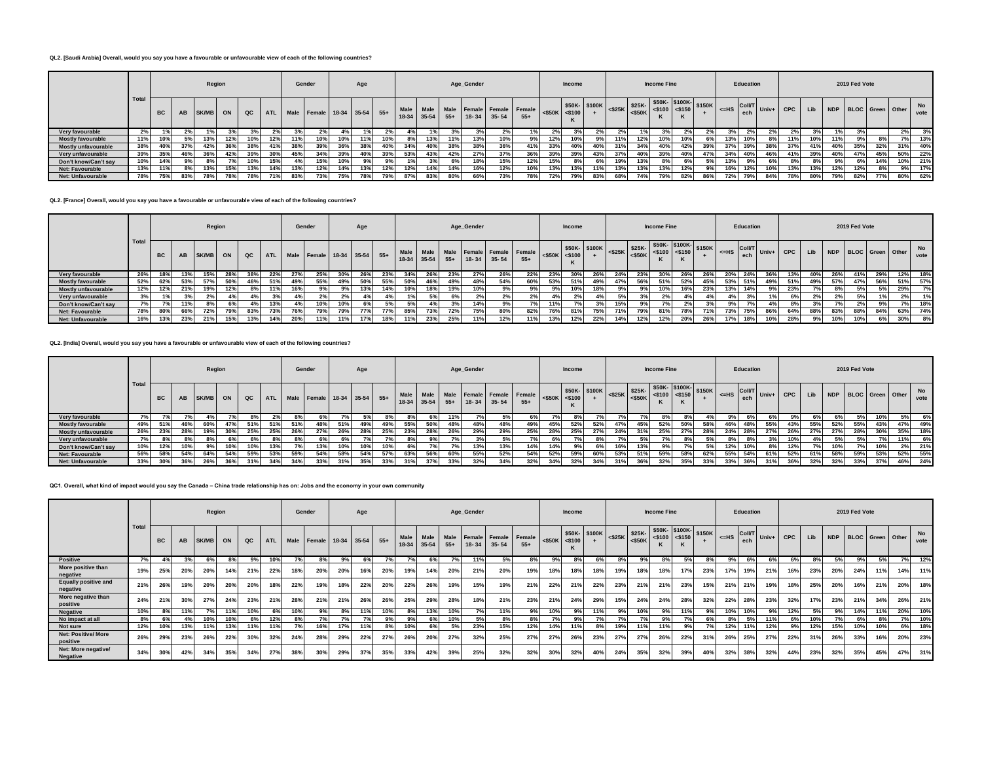### **QL2. [Saudi Arabia] Overall, would you say you have a favourable or unfavourable view of each of the following countries?**

|                          |       |           | Region<br>AB<br>SK/MB<br>ON<br>$_{\alpha c}$<br>13%<br>12%<br>10%<br>37%<br>42%<br>36%<br>38%<br>36%<br>42%<br>39%<br>46%<br>9%।<br>7%<br>10% |     |     |     |                | Gender |                             | Age |                |     |     |                | Age_Gender |     |                       |                                              | <b>Income</b>       |     |                                                                                           |     | <b>Income Fine</b> |     |     |     | Education |       |     |     |     | 2019 Fed Vote |     |                      |            |            |
|--------------------------|-------|-----------|-----------------------------------------------------------------------------------------------------------------------------------------------|-----|-----|-----|----------------|--------|-----------------------------|-----|----------------|-----|-----|----------------|------------|-----|-----------------------|----------------------------------------------|---------------------|-----|-------------------------------------------------------------------------------------------|-----|--------------------|-----|-----|-----|-----------|-------|-----|-----|-----|---------------|-----|----------------------|------------|------------|
|                          | Total | <b>BC</b> |                                                                                                                                               |     |     |     | <b>ATL</b>     |        | Male Female 18-34 35-54 55+ |     |                |     |     | $18-34$ 35-54  |            |     | $55+$   18-34   35-54 | Male Male Male Female Female Female<br>$55+$ | $<$ \$50K $<$ \$100 |     | $\frac{1}{5100K}$ = \$25K = \$25K = \$25K = \$100 = \$150K = \$150K = -11<br>\$50K-\$100K |     |                    |     |     |     |           |       |     |     | Lib |               |     | NDP BLOC Green Other |            | No<br>vote |
| Very favourable          | 2%    |           |                                                                                                                                               |     |     |     | 2 <sup>9</sup> |        | 2%                          |     |                |     |     |                |            |     |                       | 1%                                           | 2%                  |     |                                                                                           |     |                    |     | 2%  | 2%  |           | $2\%$ | 2%  | 2%  |     |               |     |                      | 2%         | 3%         |
| <b>Mostly favourable</b> | 11%   | 10%       |                                                                                                                                               |     |     |     | 12%            | 11%    | 10%                         | 10% | 11%            | 10% | 8%  | 13%            | 11%        | 13% | 10%                   | 9%1                                          | 12%                 |     | 9%                                                                                        | 11% | 12%                | 10% | 10% | 6%  | 13%       | 10%   | 8%  | 11% | 10% | 11%           | 9%  | 8%                   | <b>7%1</b> | 13%        |
| Mostly unfavourable      | 38%   | 40%       |                                                                                                                                               |     |     |     |                | 38%    | 39%                         | 36% | 38%            | 40% | 34% | 40%            | 38%        | 38% | 36%                   | 41%                                          | 33%                 | 40% | 40%                                                                                       | 31% | 34%                | 40% | 42% | 39% | 37%       | 39%   | 38% | 37% | 41% | 40%           | 35% | 32%                  | 31%        | 40%        |
| Very unfavourable        | 39%   | 35%       |                                                                                                                                               |     |     |     | 30%            | 45%    | 34%                         | 39% | 40%            | 39% | 53% | 43%            | 42%        | 27% | 37%                   | 36%                                          | 39%                 | 39% | 43%                                                                                       | 37% | 40%                | 39% | 40% | 47% | 34%       | 40%   | 46% | 41% | 39% | 40%           | 47% | 45%                  | 50%        | 22%        |
| Don't know/Can't say     | 10%   | 14%       |                                                                                                                                               |     |     |     | 15%            |        | 15%                         | 10% | 0 <sup>0</sup> | 9%  |     | 3 <sup>o</sup> |            | 18% | 15%                   | 12%                                          | 15%                 |     |                                                                                           | 19% | 13%                | 8%  | 6%  | 5%  | 13%       | 9%    | 6%  |     | 8%  |               |     | 14%                  | 10%        | 21%        |
| <b>Net: Favourable</b>   | 13%   | 11%       |                                                                                                                                               | 13% | 15% | 13% | 14%            | 13%    | 12%                         | 14% | 13%            | 12% | 12% | 14%            | 14%        | 16% | 12%                   | 10%                                          | 13%                 |     | 11%                                                                                       | 13% | 13%                | 13% | 12% | 9%  |           | 12%   | 10% | 13% | 13% | 12%           | 12% | 8%                   | 9%         | 17%        |
| <b>Net: Unfavourable</b> | 78%   | 75%       | 83%                                                                                                                                           | 78% | 78% | 78% | 71%            | 83%    | 73%                         | 75% | 78%            | 79% | 87% | 83%            | 80%        | 66% | 73%                   | 78%                                          | 72%                 | 79% | 83%                                                                                       | 68% | 74%                | 79% | 82% | 86% | 72%       | 79%   | 84% | 78% | 80% | 79%           | 82% | 77%                  | 80%        | 62%        |

**QL2. [France] Overall, would you say you have a favourable or unfavourable view of each of the following countries?**

|                            |      |           | <b>AB</b><br>53%<br>21%<br>66% |       | Region |     |            |     | Gender                      |     | Age |     |       |           |       | Age_Gender |           |                                              |                     | <b>Income</b> |               |                   |     | <b>Income Fine</b>                                                        |     |     |           | Education |     |     |     |     | 2019 Fed Vote |                      |     |                   |
|----------------------------|------|-----------|--------------------------------|-------|--------|-----|------------|-----|-----------------------------|-----|-----|-----|-------|-----------|-------|------------|-----------|----------------------------------------------|---------------------|---------------|---------------|-------------------|-----|---------------------------------------------------------------------------|-----|-----|-----------|-----------|-----|-----|-----|-----|---------------|----------------------|-----|-------------------|
|                            | Tota | <b>BC</b> |                                | SK/MB | ON     | QC  | <b>ATL</b> |     | Male Female 18-34 35-54 55+ |     |     |     | 18-34 | $35 - 54$ | $55+$ | $18 - 34$  | $35 - 54$ | Male Male Male Female Female Female<br>$55+$ | $<$ \$50K $<$ \$100 |               | \$50K- \$100K | $ \ll 25K$ \$25K- |     | $$50K - $100K - $150K$<br>$-525K$ $ $ $-550K$ $ $ $-5100$ $ $ $-5150$ $ $ |     |     | $\leq$ HS |           |     |     | Lib |     |               | NDP BLOC Green Other |     | <b>No</b><br>vote |
| Very favourable            | 26%  | 18%       |                                | 15%   |        |     | 22%        | 27% | 25%                         | 30% |     | 23% | 34%   | 26%       | 23%   | 27%        | 26%       | 22%                                          | 23%                 | 30°           | 26%           |                   | 23% | 30%                                                                       | 26% |     |           | 24%       | ־סכ | 13% | 40% | 26% | 41%           | 29%                  | 12% | 18%               |
| <b>Mostly favourable</b>   | 52%  | 62%       |                                | 57%   | 50%    | 46% | 51%        | 49% | 55%                         | 49% | 50% | 55% | 50%   | 46%       | 49%   | 48%        | 54%       | 60%                                          | 53%                 | 51%           | 49%           | 47%               | 56% | 51%                                                                       | 52% | 45% | 53%       | 51%       | 49% | 51% | 49% | 57% | 47%           | 56%                  | 51% | 57%               |
| <b>Mostly unfavourable</b> | 12%  | 12%       |                                | 19%   | 12%    |     | 11%        | 16% |                             | 9%  | 13% | 14% | 10%   | 18%       | 19%   | 10%        | 9%        | 9%                                           | 9%                  |               | 18%           | 9°                | 9%  | 10%                                                                       | 16% | 23% | 13%       | 14%       | 9%  | 23% |     |     | 5%            | 5%                   | 29% | 7%                |
| Very unfavourable          | 3%   | 1%        |                                | 2%    |        |     | 3%         | 4%  | 2%                          | 2%  | 4%  | 4%  |       | 5%        | 6%    | 2%         | 2%        | 2%                                           | 4%                  | 2%            |               | 5%                | 3%  | 2%                                                                        | 4%  |     |           | 3%        |     | 6%  | 2%  |     | 5%            | 1%                   | 2%  | 1%                |
| Don't know/Can't say       | 7%   | 7%        |                                | 8%    | 69     |     | 13%        | 4%1 | 10%                         | 10% | 6%  |     |       |           | 3%    | 14%        | 9%        | 7%                                           | 11%                 |               |               | 15%               |     |                                                                           | 2%  |     |           | 7%        |     |     |     |     | 2%            | 9%                   | 7%  | 18%               |
| <b>Net: Favourable</b>     | 78%  | 80%       |                                | 72%   | 79%    | 83% | 73%        | 76% | 79%                         | 79% | 77% | 77% | 85%   | 73%       | 72%   | 75%        | 80%       | 82%                                          | 76%                 | 81%           | 75%           | 71%               | 79% | 81%                                                                       | 78% | 71% | 73%       | 75%       | 86% | 64% | 88% | 83% | 88%           | 84%                  | 63% | 74%               |
| <b>Net: Unfavourable</b>   | 16%  | 13%       | 23%                            | 21%   | 15%    | 13% | 14%        | 20% | 11%                         | 11% | 17% | 18% |       | 23%       | 25%   | 11%        | 12%       | 11%                                          | 13%                 | 12%           | 22%           | 14%               | 12% | 12%                                                                       | 20% | 26% | 17%       | 18%       |     | 28% | 9%  | 10% | 10%           |                      | 30% | 8%                |

**QL2. [India] Overall, would you say you have a favourable or unfavourable view of each of the following countries?**

|                          |       |           |     | Region |     |     |            |     | Gender                      |        | Age |     |      |     |     | Age_Gender |                             |                                         |                       | Income |                                                                                                  |     |     | <b>Income Fine</b>                                                                 |     |     |                                                                                         | Education |                                                        |            |      |     | 2019 Fed Vote |                      |     |            |
|--------------------------|-------|-----------|-----|--------|-----|-----|------------|-----|-----------------------------|--------|-----|-----|------|-----|-----|------------|-----------------------------|-----------------------------------------|-----------------------|--------|--------------------------------------------------------------------------------------------------|-----|-----|------------------------------------------------------------------------------------|-----|-----|-----------------------------------------------------------------------------------------|-----------|--------------------------------------------------------|------------|------|-----|---------------|----------------------|-----|------------|
|                          | Total | <b>BC</b> | AB  | SK/MB  | ON  |     | <b>ATL</b> |     | Male Female 18-34 35-54 55+ |        |     |     | Male |     |     |            | 18-34 35-54 55+ 18-34 35-54 | Male Male Female Female Female<br>$55+$ | $<$ \$50K $\le$ \$100 | K      | $\frac{1}{250K}$ \$100K $\left  \frac{25K}{25K} \right $ \$25K $\left  \frac{25K}{250K} \right $ |     |     | $$50K - $100K - $150K$<br>$ 525K$ $\leq$ $550K$ $\leq$ $5100$ $\leq$ $5150$ $\leq$ |     |     | $\left  \right $ $\leq$ HS $\left  \right $ $\left  \right $ $\right $ $\left  \right $ |           | $\overline{\text{CoII/T}}$ Univ+ $\overline{\text{I}}$ | <b>CPC</b> | Lib  |     |               | NDP BLOC Green Other |     | No<br>vote |
| Very favourable          |       |           |     |        |     |     | 2%         | 8%  |                             | $\sim$ | 5%  |     |      | 6%  | 11% |            |                             |                                         |                       | ୪%     |                                                                                                  |     |     |                                                                                    |     |     |                                                                                         | -6%       |                                                        |            | 6% I |     |               | 10%                  | 5%  | 6%         |
| <b>Mostly favourable</b> | 49%   | 51%       | 46% | 60%    | 47% | 51% | 51%        | 51% | 48%                         | 51%    | 49% | 49% | 55%  | 50% | 48% | 48%        | 48%                         | 49%                                     | 45%                   | 52%    | 52%                                                                                              | 47% | 45% | 52%                                                                                | 50% | 58% | 46%                                                                                     | 48%       | 55%                                                    | 43%        | 55%  | 52% | 55%           | 43%                  | 47% | 49%        |
| Mostly unfavourable      | 26%   | 23%       | 28% | 19%    | 30% | 25% | 25%        | 26% | 27%                         | 26%    | 28% | 25% | 23%  | 28% | 26% | 29%        | 29%                         | 25%                                     | 28%                   | 25%    | 27%                                                                                              | 24% | 31% | 25%                                                                                | 27% | 28% | 24%                                                                                     | 28%       | 27%                                                    | 26%        | 27%  | 27% | 28%           | 30%                  | 35% | 18%        |
| Very unfavourable        | 7%    |           | 8%  | 8%     | 6%  | 6%  | 8%         | 8%  | 6%                          | 6%     |     | 70/ | 8%   | 9%  | 70/ | 3%         | 5%                          | 701                                     | 6%                    |        | 8%                                                                                               |     | 5%  |                                                                                    | 8%  |     |                                                                                         | 8%        | 3%                                                     | 10%        | 4%   | 5%  | .5%           | 7%                   | 11% | 6%         |
| Don't know/Can't say     | 10%   | 12%       | 10% | 9%।    | 10% | 10% | 13%        |     | 13%                         | 10%    | 10% | 10% |      |     | 70  | 13%        | 13%                         | 14%                                     | 14%                   | 9%     | 6%                                                                                               |     | 13% |                                                                                    |     |     | 12%                                                                                     |           | 8%                                                     | 12%        |      | 10% |               | 10%                  | 2%  | 21%        |
| Net: Favourable          | 56%   | 58%       | 54% | 64%    | 54% | 59% | 53%        | 59% | 54%                         | 58%    | 54% | 57% | 63%  | 56% | 60% | 55%        | 52%                         | 54%                                     | 52%                   | 59%    | 60%                                                                                              | 53% | 51% | 59%                                                                                | 58% | 62% | 55%                                                                                     | 54%       | 61%                                                    | 52%        | 61%  | 58% | 59%           | 53%                  | 52% | 55%        |
| <b>Net: Unfavourable</b> | 33%   | 30%       | 36% | 26%    | 36% | 31% | 34%        | 34% | 33%                         | 31%    | 35% | 33% | 31%  | 37% | 33% | 32%        | 34%                         | 32%                                     | 34%                   | 32%    | 34%                                                                                              |     | 36% | 32%                                                                                | 35% | 33% | 33%                                                                                     | 36%       | 31%                                                    | 36%        | 32%  | 32% | 33%           | 37%                  | 46% | 24%        |

**QC1. Overall, what kind of impact would you say the Canada – China trade relationship has on: Jobs and the economy in your own community**

|                                         |       |           |            | Region |     |     |       | Gender    |                             |     | Age |     |                     |             |       | Age_Gender |                                        |       |     | <b>Income</b>                             |     |     |                            | <b>Income Fine</b> |     |                                     |         | Education            |       |            |     |     | 2019 Fed Vote        |     |     |            |
|-----------------------------------------|-------|-----------|------------|--------|-----|-----|-------|-----------|-----------------------------|-----|-----|-----|---------------------|-------------|-------|------------|----------------------------------------|-------|-----|-------------------------------------------|-----|-----|----------------------------|--------------------|-----|-------------------------------------|---------|----------------------|-------|------------|-----|-----|----------------------|-----|-----|------------|
|                                         | Total | <b>BC</b> | AB         | SK/MB  | ON  | QC  | ATL I |           | Male Female 18-34 35-54 55+ |     |     |     | Male<br>18-34 35-54 | <b>Male</b> | $55+$ | $18 - 34$  | Male Female Female Female<br>$35 - 54$ | $55+$ |     | \$50K- \$100K<br>$<$ \$50K $<$ \$100<br>к |     |     | $S25K$ \$25K-<br>$<$ \$50K | $<$ \$100 <\$150   |     | $\frac{1}{2}$ \$50K- \$100K- \$150K | $<=$ HS | <b>Coll/T</b><br>ech | Univ+ | <b>CPC</b> | Lib |     | NDP BLOC Green Other |     |     | No<br>vote |
| <b>Positive</b>                         | 7%1   |           |            | 6%     |     | 9%  | 10%   | $7\%$     | 8%                          | 9%  | 6%  | 7%  | 70/                 |             | 7%    | 11%        | 5%                                     |       | 9%  | 8%                                        |     |     |                            |                    | 5%  |                                     | 9%      | 6%                   | 6%    | 6% o       |     | 5%  | 9%                   |     | 7%  | 12%        |
| More positive than<br>negative          | 19%   | 25%       | <b>20%</b> | 20%    | 14% | 21% | 22%   | 18%       | 20%                         | 20% | 16% | 20% | 19%                 | 14%         | 20%   | 21%        | 20%                                    | 19%   |     | 18%                                       | 18% | 19% | 18%                        | 18%                | 17% | 23%                                 | 17%     | 19%                  | 21%   | 16%        | 23% | 20% | 24%                  | 11% | 14% | 11%        |
| <b>Equally positive and</b><br>negative | 21%   | 26%       | 19%        | 20%    | 20% | 20% | 18%   | 22%       | 19%                         | 18% | 22% | 20% | 22%                 | 26%         | 19%   | 15%        | 19%                                    | 21%   | 22% | 21%                                       | 22% | 23% | 21%                        | 21%                | 23% | 15%                                 | 21%     | 21%                  | 19%   | 18%        | 25% | 20% | 16%                  | 21% | 20% | 18%        |
| More negative than<br>positive          | 24%   | 21%       | 30%        | 27%    | 24% | 23% | 21%   | 28%       | 21%                         | 21% | 26% | 26% | 25%                 | 29%         | 28%   | 18%        | 21%                                    | 23%   | 21% | 24%                                       | 29% | 15% | 24%                        | 24%                | 28% | 32%                                 | 22%     | 28%                  | 23%   | 32%        | 17% | 23% | 21%                  | 34% | 26% | 21%        |
| <b>Negative</b>                         | 10%   | 8%        | 11%        | 7%     | 11% | 10% | 6%    | 10%       | 9%                          | 8%  | 11% | 10% | 8%                  | 13%         | 10%   | 7%         | 11%                                    | 9%    | 10% | 9%                                        | 11% | 9%  | 10%                        | 9%                 | 11% | 9%                                  | 10%     | 10%                  | 9%    | 12%        | 5%  | 9%  | 14%                  | 11% | 20% | 10%        |
| No impact at all                        | 8%    | 6%        | 4%         | 10%    | 10% | 6%  | 12%   | 8%        | 7%                          |     |     | 9%  | 9%                  | 6%          | 10%   | 5%         | 8%                                     |       | 7%  | 9%                                        |     |     | 7%                         | 9%                 |     | 6%                                  | 89      | 5%                   | 11%   |            | 10% | 7%  | 6%                   | 8%  | 7%  | 10%        |
| Not sure                                | 12%   | 10%       | 13%        | 11%    | 13% | 11% | 11%   | <b>7%</b> | 16%                         | 17% | 11% | 8%  | 10%                 | 6%          | 5%    | 23%        | 15%                                    | 12%   | 14% | 11%                                       | 8%  | 19% | 11%                        | 11%                |     | $7^{\circ}$                         | 12%     | 11%                  | 12%   | 9%         | 12% | 15% | 10%                  | 10% | 6%  | 18%        |
| <b>Net: Positive/ More</b><br>positive  | 26%   | 29%       | 23%        | 26%    | 22% | 30% | 32%   | 24%       | 28%                         | 29% | 22% | 27% | 26%                 | 20%         | 27%   | 32%        | 25%                                    | 27%   | 27% | 26%                                       | 23% | 27% | 27%                        | 26%                | 22% | 31%                                 | 26%     | 25%                  | 27%   | 22%        | 31% | 26% | 33%                  | 16% | 20% | 23%        |
| Net: More negative/<br><b>Negative</b>  | 34%   | 30%       | 42%        | 34%    | 35% | 34% | 27%   | 38%       | 30%                         | 29% | 37% | 35% | 33%                 | 42%         | 39%   | 25%        | 32%                                    | 32%   | 30% | 32%                                       | 40% | 24% | 35%                        | 32%                | 39% | 40%                                 | 32%     | 38%                  | 32%   | 44%        | 23% | 32% | 35%                  | 45% | 47% | 31%        |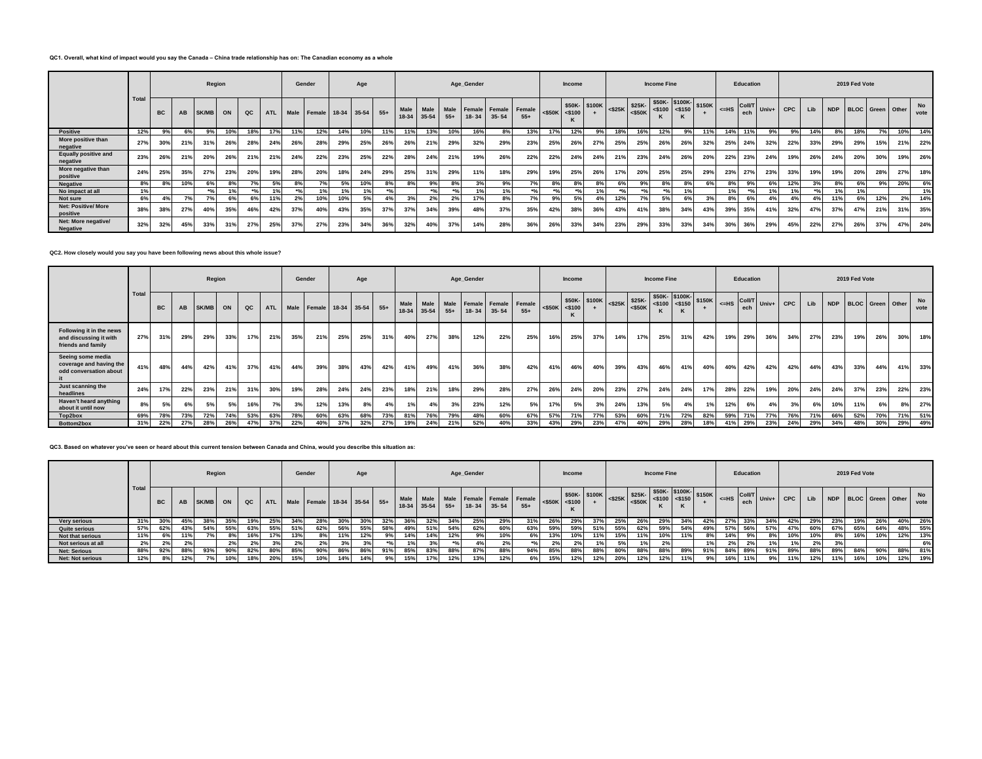## **QC1. Overall, what kind of impact would you say the Canada – China trade relationship has on: The Canadian economy as a whole**

|                                         |       |           |     | Region       |     |               |            | Gender  |                         |     | Age |       |      |             |                 | Age_Gender |                                      |                 |           | <b>Income</b>  |              |     |                      | <b>Income Fine</b>                                    |           |        |                  | Education            |       |            |     |     | 2019 Fed Vote        |     |     |            |
|-----------------------------------------|-------|-----------|-----|--------------|-----|---------------|------------|---------|-------------------------|-----|-----|-------|------|-------------|-----------------|------------|--------------------------------------|-----------------|-----------|----------------|--------------|-----|----------------------|-------------------------------------------------------|-----------|--------|------------------|----------------------|-------|------------|-----|-----|----------------------|-----|-----|------------|
|                                         | Total | <b>BC</b> | AB  | <b>SK/MB</b> | ON  | $_{\alpha c}$ | <b>ATL</b> |         | Male Female 18-34 35-54 |     |     | $55+$ | Male | 18-34 35-54 | $55+$           | $18 - 34$  | Male Male Female Female<br>$35 - 54$ | Female<br>$55+$ | $<$ \$50K | $<$ \$100<br>K | \$50K-\$100K |     | $ \leq$ \$25K \$25K- | \$50K-\$100K-<br>$\left  \cdot \right $ <\$50K <\$100 | $<$ \$150 | \$150K | $\leq$ HS $\mid$ | <b>Coll/1</b><br>ech | Univ+ | <b>CPC</b> | Lib |     | NDP BLOC Green Other |     |     | No<br>vote |
| <b>Positive</b>                         | 12%   | 9%        | 6%  | 9%           | 10% | 18%           | 17%        | 11%     | 12%                     | 14% | 10% | 11%   | 11%  | 13%         | 10%             | 16%        | 8%                                   | 13%             | 17%       | 12%            | 9%           | 18% | 16%                  | 12%                                                   |           | 11%    | 14%              | 11%                  | 9%    | 9%         | 14% | 8%  | 18%                  |     | 10% | 14%        |
| More positive than<br>negative          | 27%   | 30%       | 21% | 31%          | 26% | 28%           | 24%        | 26%     | 28%                     | 29% | 25% | 26%   | 26%  | 21%         | 29%             | 32%        | 29%                                  | 23%             | 25%       | 26%            | 27%          | 25% | 25%                  | 26%                                                   | 26%       | 32%    | 25%              | 24%                  | 32%   | 22%        | 33% | 29% | 29%                  | 15% | 21% | 22%        |
| <b>Equally positive and</b><br>negative | 23%   | 26%       | 21% | 20%          | 26% | 21%           | 21%        | 24%     | 22%                     | 23% | 25% | 22%   | 28%  | 24%         | 21%             | 19%        | 26%                                  | 22%             | 22%       | 24%            | 24%          | 21% | 23%                  | 24%                                                   | 26%       | 20%    | 22%              | 23%                  | 24%   | 19%        | 26% | 24% | 20%                  | 30% | 19% | 26%        |
| More negative than<br>positive          | 24%   | 25%       | 35% | 27%          | 23% | 20%           | 19%        | 28%     | 20%                     | 18% | 24% | 29%   | 25%  | 31%         | 29%             | 11%        | 18%                                  | 29%             | 19%       | 25%            | 26%          | 17% | 20%                  | 25%                                                   | 25%       | 29%    | 23%              | 27%                  | 23%   | 33%        | 19% | 19% | 20%                  | 28% | 27% | 18%        |
| <b>Negative</b>                         | 8%    | 8%        | 10% | 6%           |     |               | 5%         | 8%      | 7%                      | 5%  | 10% | 8%    | 8%   | 9%          | 8%              | 3%         | 9%                                   | 70I             | 8%        | 8%             | 8%           |     | 9%                   | 8%                                                    | 8%        |        | 8%               | 9%                   | 6%    | 12%        | 3%  | 8%  | 6%                   | 9%  | 20% | 6%         |
| No impact at all                        | 1%    |           |     | 30.          |     |               | 10         | $^{*o}$ | 1 <sub>9</sub>          |     |     |       |      | $*o/$       | 30 <sub>1</sub> | 401        | 1%                                   | 0 <sup>f</sup>  |           | $*$            |              |     |                      |                                                       | 10/       |        |                  | $*$                  |       |            |     |     | 1%                   |     |     | 1%         |
| Not sure                                | 6%    | 4%        | 7%  | 7%           |     | 6%            | 11%        | 2%      | 10%                     | 10% | 5%1 | 4%    | 3%   | 2%          | 2%              | 17%        | 8%                                   | 7%              | 9%        | 5%             | 4%           | 12% | 70I                  | 5%                                                    | 6%        | 3%     | 8%               | 6%                   | 4%    | 4%         | 4%  | 11% | 6%                   | 12% | 2%  | 14%        |
| <b>Net: Positive/ More</b><br>positive  | 38%   | 38%       | 27% | 40%          | 35% | 46%           | 42%        | 37%     | 40%                     | 43% | 35% | 37%   | 37%  | 34%         | 39%             | 48%        | 37%                                  | 35%             | 42%       | 38%            | 36%          | 43% | 41%                  | 38%                                                   | 34%       | 43%    | 39%              | 35%                  | 41%   | 32%        |     | 37% | 47%                  | 21% | 31% | 35%        |
| Net: More negative/<br><b>Negative</b>  | 32%   | 32%       | 45% | 33%          | 31% | 27%           | 25%        | 37%     | 27%                     | 23% | 34% | 36%   | 32%  | 40%         | 37%             | 14%        | 28%                                  | 36%             | 26%       | 33%            | 34%          | 23% | 29%                  | 33%                                                   | 33%       | 34%    | 30%              | 36%                  | 29%   | 45%        | 22% | 27% | 26%                  | 37% | 47% | 24%        |

**QC2. How closely would you say you have been following news about this whole issue?**

|                                                                          |       |           |     | Region       |     |     |     | Gender |                             |     | Age |       |               |           |       | Age_Gender |                                             |       |           | <b>Income</b> |               |           |                      | <b>Income Fine</b> |              |                        |         | Education                |       |            |     |            | 2019 Fed Vote           |     |     |            |
|--------------------------------------------------------------------------|-------|-----------|-----|--------------|-----|-----|-----|--------|-----------------------------|-----|-----|-------|---------------|-----------|-------|------------|---------------------------------------------|-------|-----------|---------------|---------------|-----------|----------------------|--------------------|--------------|------------------------|---------|--------------------------|-------|------------|-----|------------|-------------------------|-----|-----|------------|
|                                                                          | Total | <b>BC</b> | AB  | <b>SK/MB</b> | ON  | QC  |     |        | ATL Male Female 18-34 35-54 |     |     | $55+$ | Male<br>18-34 | $35 - 54$ | $55+$ | $18 - 34$  | Male Male Female Female Female<br>$35 - 54$ | $55+$ | $<$ \$50K | $<$ \$100     | \$50K- \$100K | $<$ \$25K | $$25K-$<br>$<$ \$50K | $<$ \$100          | $\leq$ \$150 | $550K - $100K - $150K$ | $<=$ HS | Coll <sup>r</sup><br>ech | Univ+ | <b>CPC</b> | Lib | <b>NDP</b> | <b>BLOC</b> Green Other |     |     | No<br>vote |
| Following it in the news<br>and discussing it with<br>friends and family | 27%   | 31%       | 29% | 29%          | 33% | 17% | 21% | 35%    | 21%                         | 25% | 25% | 31%   | 40%           | 27%       | 38%   | 12%        | 22%                                         | 25%   | 16%       | 25%           | 37%           | 14%       | 17%                  | 25%                | 31%          | 42%                    | 19%     | 29%                      | 36%   | 34%        | 27% | 23%        | 19%                     | 26% | 30% | 18%        |
| Seeing some media<br>coverage and having the<br>odd conversation about   | 41%   | 48%       | 44% | 42%          | 41% | 37% | 41% | 44%    | 39%                         | 38% | 43% | 42%   | 41%           | 49%       | 41%   | 36%        | 38%                                         | 42%   | 41%       | 46%           | 40%           | 39%       | 43%                  | 46%                | 41%          | 40%                    | 40%     | 42%                      | 42%   | 42%        | 44% | 43%        | 33%                     | 44% | 41% | 33%        |
| Just scanning the<br>headlines                                           | 24%   | 17%       | 22% | 23%          | 21% | 31% | 30% | 19%    | 28%                         | 24% | 24% | 23%   | 18%           | 21%       | 18%   | 29%        | 28%                                         | 27%   | 26%       | 24%           | 20%           | 23%       | 27%                  | 24%                | 24%          | 17%                    | 28%     | 22%                      | 19%   | 20%        | 24% | 24%        | 37%                     | 23% | 22% | 23%        |
| Haven't heard anything<br>about it until now                             | 8%    | 5%        |     | 5%           | 5%  | 16% | 7%  | 3%     | 12%                         | 13% | 8%  |       | 1%            | 4%        | 3%    | 23%        | 12%                                         | 5%    | 17%       | 5%            | 3%            | 24%       | 13%                  | 5%                 | 4%           |                        | 12%     | 6%                       | 4%    | 3%         | 6%  | 10%        | 11%                     | 6%  | 8%  | 27%        |
| Top2box                                                                  | 69%   | 78%       | 73% | 72%          | 74% | 53% | 63% | 78%    | 60%                         | 63% | 68% | 73%   | 81%           | 76%       | 79%   | 48%        | 60%                                         | 67%   | 57%       | 71%           | 77%           | 53%       | 60%                  | 71%                | 72%          | 82%                    | 59%     | 71%                      | 77%   | 76%        | 71% | 66%        | 52%                     | 70% | 71% | 51%        |
| Bottom2box                                                               | 31%   | 22%       | 27% | 28%          | 26% | 47% | 37% | 22%    | 40%                         | 37% | 32% | 27%   | 19%           | 24%       | 21%   | 52%        | 40%                                         | 33%   | 43%       | 29%           | 23%           | 47%       | 40%                  | 29%                | 28%          | 18%                    | 41%     | 29%                      | 23%   | 24%        | 29% | 34%        | 48%                     | 30% | 29% | 49%        |

**QC3. Based on whatever you've seen or heard about this current tension between Canada and China, would you describe this situation as:**

|                         |                       |           |     | Region       |     |      |     |        | Gender                          |        | Age |     |             |     |     | Age_Gender |           |                                              |                     | <b>Income</b> |     |     |     | <b>Income Fine</b> |     |     |     | Education     |           |     |     |     | 2019 Fed Vote |                         |     |                   |
|-------------------------|-----------------------|-----------|-----|--------------|-----|------|-----|--------|---------------------------------|--------|-----|-----|-------------|-----|-----|------------|-----------|----------------------------------------------|---------------------|---------------|-----|-----|-----|--------------------|-----|-----|-----|---------------|-----------|-----|-----|-----|---------------|-------------------------|-----|-------------------|
|                         | Total                 | <b>BC</b> | AB  | <b>SK/MB</b> | ON  | QC I |     |        | ATL Male Female 18-34 35-54 55+ |        |     |     | 18-34 35-54 |     | 55+ | $18 - 34$  | $35 - 54$ | Male Male Male Female Female Female<br>$55+$ | $<$ \$50K $<$ \$100 |               |     |     |     |                    |     |     |     | <b>Coll/T</b> | Univ+ CPC |     | Lib | NDP |               | <b>BLOC</b> Green Other |     | <b>No</b><br>vote |
| <b>Very serious</b>     | 31%                   |           |     | 38%          | 35% |      | 25% |        |                                 | 30%    |     |     | 36%         | 32% | 34% | 25%        | 29%       | 31%                                          | 26%                 |               | 37% | 25% |     |                    | 34% | 42% |     |               |           | 42% | 29% | 23% | 19%           | 26%                     | 40% | 26%               |
| <b>Quite serious</b>    | 57%                   | 62%       | 43% | 54%          | 55% | 63%  | 55% | 51%    | 62%                             | 56%    | 55% | 58% | 49%         | 51% | 54% | 62%        | 60%       | 63%                                          | 59%                 | 59%           | 51% | 55% | 62% | 59%                | 54% | 49% | 57% | 56%           | 57%       | 47% | 60% | 67% | 65%           | 64%                     | 48% | 55%               |
| Not that serious        | 11%                   |           | 11% | 7%           | 8%  |      |     | 13%    |                                 | 11%    | 12% |     | 14%         | 14% | 12% | 9%         | 10%       | 6%                                           | 13%                 | 10%           | 11% | 15% | 11% | 10%                | 11% | 8%  | 14% | 9%            | 8%        | 10% | 10% |     | 16%           | 10%                     | 12% | 13%               |
| Not serious at all      | 0 <sup>0</sup><br>470 | $\sim$    |     |              | 2%  | 2%   |     | $\sim$ |                                 | $\sim$ |     |     | 40          |     |     | 4%         | 2%        |                                              |                     | 20/           | 10  | 5%  | 1%  | -43                |     | 1%  |     |               |           | 1%  | 2%  |     |               |                         |     | 6%                |
| <b>Net: Serious</b>     | 88%                   | 92%       | 88% | 93%          | 90% | 82%  | 80% | 85%    |                                 | 86%    | 86% |     | 85%         | 83% | 88% | 87%        | 88%       |                                              | 85%                 | 88%           | 88% | 80% | 88% | 88°                | 89% | 91% | 84% |               |           |     | 88% | 89% | 84%           | 90%                     | 88% | 81%               |
| <b>Net: Not serious</b> | 12%                   |           | 12% | 7%           | 10% | 18%  | 20% |        | 10%                             | 14%    | 14% |     | 15%         | 17% | 12% | 13%        | 12%       | 6%                                           | 15%                 | 12%           | 12% | 20% | 12% | 12%                | 11% | 9%  |     |               | 9%        | 11% | 12% | 11% | 16%           | 10%                     | 12% | 19%               |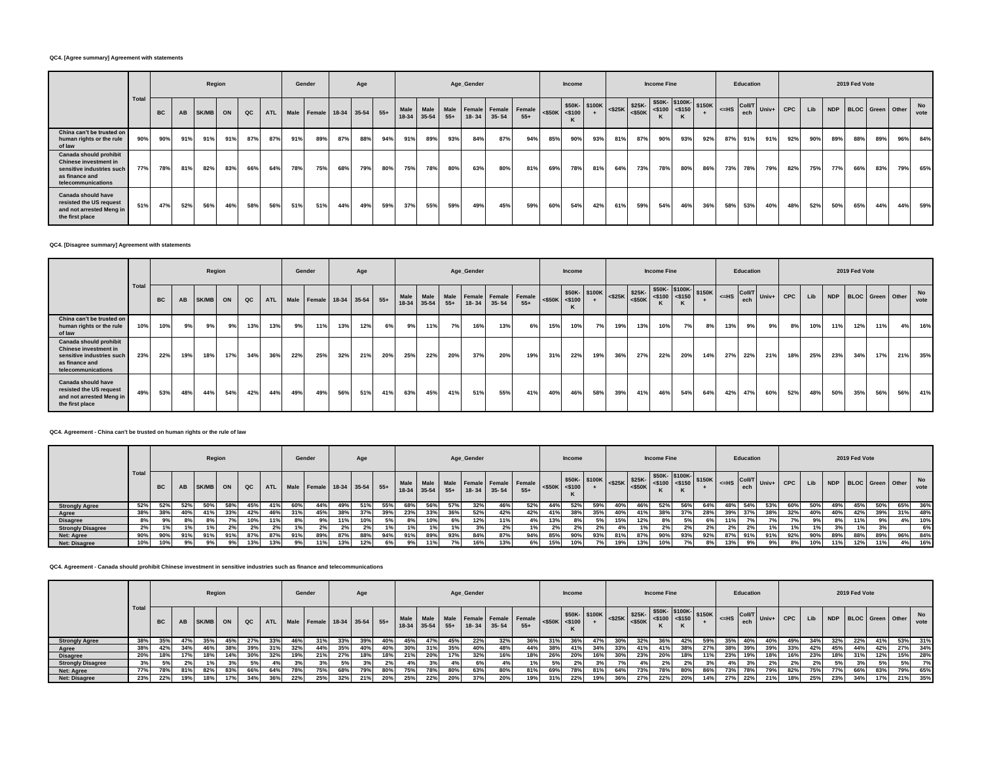### **QC4. [Agree summary] Agreement with statements**

|                                                                                                                      |      |           |     |       | Region |     |     |     | Gender                          |     | Age |     |                           |     |     | Age_Gender |           |                                         |           | <b>Income</b> |              |     |                     | <b>Income Fine</b>                                                    |           |     |                                                     | Education |     |            |     |     | 2019 Fed Vote |     |                      |            |
|----------------------------------------------------------------------------------------------------------------------|------|-----------|-----|-------|--------|-----|-----|-----|---------------------------------|-----|-----|-----|---------------------------|-----|-----|------------|-----------|-----------------------------------------|-----------|---------------|--------------|-----|---------------------|-----------------------------------------------------------------------|-----------|-----|-----------------------------------------------------|-----------|-----|------------|-----|-----|---------------|-----|----------------------|------------|
|                                                                                                                      | Tota | <b>BC</b> | AB  | SK/MB | ON     | QC  |     |     | ATL Male Female 18-34 35-54 55+ |     |     |     | Male<br>$18-34$ 35-54 55+ |     |     | $18 - 34$  | $35 - 54$ | Male Male Female Female Female<br>$55+$ | $<$ \$50K | $<$ \$100     | \$50K-\$100K |     | $ \cos 25K $ \$25K- | $\frac{1}{200}$ \$50K- \$100K- \$150K<br>$  $ <\$50K <\$100   <><br>K | $<$ \$150 |     | $\left  \right $ <=HS $\left  \right $ Coll/T Univ+ |           |     | <b>CPC</b> | Lib |     |               |     | NDP BLOC Green Other | No<br>vote |
| China can't be trusted on<br>human rights or the rule<br>of law                                                      | 90%  | 90%       | 91% | 91%   | 91%    | 87% | 87% | 91% | 89%                             | 87% | 88% | 94% | 91%                       | 89% | 93% | 84%        | 87%       | 94%                                     | 85%       | 90%           | 93%          | 81% | 87%                 | 90%                                                                   | 93%       | 92% | 87%                                                 | 91%       | 91% | 92%        | 90% | 89% | 88%           | 89% | 96%                  | 84%        |
| Canada should prohibit<br>Chinese investment in<br>sensitive industries such<br>as finance and<br>telecommunications | 77%  | 78%       | 81% | 82%   | 83%    | 66% | 64% | 78% | 75%                             | 68% | 79% | 80% | 75%                       | 78% | 80% | 63%        | 80%       | 81%                                     | 69%       | 78%           | 81%          | 64% | 73%                 | 78%                                                                   | 80%       | 86% | 73%                                                 | 78%       | 79% | 82%        | 75% | 77% | 66%           | 83% | 79%                  | 65%        |
| Canada should have<br>resisted the US request<br>and not arrested Meng in<br>the first place                         | 51%  | 47%       | 52% | 56%   | 46%    | 58% | 56% | 51% | 51%                             | 44% | 49% | 59% | 37%                       | 55% | 59% | 49%        | 45%       | 59%                                     | 60%       | 54%           | 42%          | 61% | 59%                 | 54%                                                                   | 46%       | 36% | 58%                                                 | 53%       | 40% | 48%        | 52% | 50% | 65%           | 44% | 44%                  | 59%        |

#### **QC4. [Disagree summary] Agreement with statements**

|                                                                                                                      |       |           |     | Region       |     |     |            | Gender |                         |     | Age |       |             |                     |       | Age_Gender |           |                                    |     | Income              |              |     |                                                     | <b>Income Fine</b>   |     |                                     |         | Education            |         |            |     |     | 2019 Fed Vote        |     |     |            |
|----------------------------------------------------------------------------------------------------------------------|-------|-----------|-----|--------------|-----|-----|------------|--------|-------------------------|-----|-----|-------|-------------|---------------------|-------|------------|-----------|------------------------------------|-----|---------------------|--------------|-----|-----------------------------------------------------|----------------------|-----|-------------------------------------|---------|----------------------|---------|------------|-----|-----|----------------------|-----|-----|------------|
|                                                                                                                      | Total | <b>BC</b> | AB  | <b>SK/MB</b> | ON  | QC  | <b>ATL</b> |        | Male Female 18-34 35-54 |     |     | $55+$ | <b>Male</b> | Male<br>18-34 35-54 | $55+$ | $18 - 34$  | $35 - 54$ | Male Female Female Female<br>$55+$ |     | $<$ \$50K $<$ \$100 | \$50K-\$100K |     | $ \sim$ $\vert$ <\$25K $\vert$ \$25K-<br>$\leq$ 50K | $ $ <\$100 \, <\$150 |     | $\frac{1}{2}$ \$50K- \$100K- \$150K | $<=$ HS | <b>Coll/T</b><br>ech | $Univ+$ | <b>CPC</b> | Lib |     | NDP BLOC Green Other |     |     | No<br>vote |
| China can't be trusted on<br>human rights or the rule<br>of law                                                      | 10%   | 10%       | 9%  | 9%           | 9%  | 13% | 13%        | 9%     | 11%                     | 13% | 12% | 6%    | 9%          | 11%                 | 7%    | 16%        | 13%       | 6%                                 | 15% | 10%                 | 7%           | 19% | 13%                                                 | 10%                  | 7%  | 8%                                  | 13%     | 9%                   | 9%      | 8%         | 10% | 11% | 12%                  | 11% | 4%  | 16%        |
| Canada should prohibit<br>Chinese investment in<br>sensitive industries such<br>as finance and<br>telecommunications | 23%   | 22%       | 19% | 18%          | 17% | 34% | 36%        | 22%    | 25%                     | 32% | 21% | 20%   | 25%         | 22%                 | 20%   | 37%        | 20%       | 19%                                | 31% | 22%                 | 19%          | 36% | 27%                                                 | 22%                  | 20% | 14%                                 | 27%     | 22%                  | 21%     | 18%        | 25% | 23% | 34%                  | 17% | 21% | 35%        |
| Canada should have<br>resisted the US request<br>and not arrested Meng in<br>the first place                         | 49%   | 53%       | 48% | 44%          | 54% | 42% | 44%        | 49%    | 49%                     | 56% | 51% | 41%   | 63%         | 45%                 | 41%   | 51%        | 55%       | 41%                                | 40% | 46%                 | 58%          | 39% | 41%                                                 | 46%                  | 54% | 64%                                 | 42%     | 47%                  | 60%     | 52%        | 48% | 50% | 35%                  | 56% | 56% | 41%        |

#### **QC4. Agreement - China can't be trusted on human rights or the rule of law**

|                          |       |           |     | Region |     |          |     |     | Gender                          |     | Age |     |     |     |     | Age_Gender |                             |                                                                                                                                                                                                                                                                                                                                                                                                                                                                                                                                                       |     | <b>Income</b> |                |     |     | <b>Income Fine</b> |     |     |     | Education |     |     |     |     | 2019 Fed Vote |     |                      |            |
|--------------------------|-------|-----------|-----|--------|-----|----------|-----|-----|---------------------------------|-----|-----|-----|-----|-----|-----|------------|-----------------------------|-------------------------------------------------------------------------------------------------------------------------------------------------------------------------------------------------------------------------------------------------------------------------------------------------------------------------------------------------------------------------------------------------------------------------------------------------------------------------------------------------------------------------------------------------------|-----|---------------|----------------|-----|-----|--------------------|-----|-----|-----|-----------|-----|-----|-----|-----|---------------|-----|----------------------|------------|
|                          | Total | <b>BC</b> | AB  | SK/MB  | ON  | $\alpha$ |     |     | ATL Male Female 18-34 35-54 55+ |     |     |     |     |     |     |            | 18-34 35-54 55+ 18-34 35-54 | $\left \begin{array}{cc} \text{Male} & \text{Male} \\ \text{Male} & \text{Male} \end{array}\right  \xrightarrow{\text{Rone}} \left \begin{array}{cc} \text{Female} \\ \text{Female} \end{array}\right  \xrightarrow{\text{Female}} \left \begin{array}{cc} \text{semale} \\ \text{C450K} \end{array}\right  \xrightarrow{\text{S50K}} \left \begin{array}{cc} \text{S50K-} \\ \text{S450K} \end{array}\right  \xrightarrow{\text{S25K}} \left \begin{array}{cc} \text{S25K-} \\ \text{S450K} \end{array}\right  \xrightarrow{\text{S30K}} \$<br>$55+$ |     |               |                |     |     |                    |     |     |     |           |     |     | Lib |     |               |     | NDP BLOC Green Other | No<br>vote |
| <b>Strongly Agree</b>    | 52%   | 52%       | 52% | 50%    | 58% | 45%      | 41% | 60% | 44%                             | 49% | 51% |     | 68% | 56% | 57% | 32%        | 46%                         | 52%                                                                                                                                                                                                                                                                                                                                                                                                                                                                                                                                                   | 44% | 52%           | 59%            | 40% | 46% | 52%                |     | 64% | 48° | 54%       | 53% | 60% | 50% | 49% | 45%           | 50% | 65%                  | 36%        |
| Agree                    | 38%   | 38%       | 40% | 41%    | 33% | 42%      | 46% | 31% | 45%                             | 38% | 37% | 39% | 23% | 33% | 36% | 52%        | 42%                         | 42%                                                                                                                                                                                                                                                                                                                                                                                                                                                                                                                                                   | 41% | 38%           | 35%            | 40% | 41% | 38%                |     | 28% |     | 37%       | 38% | 32% | 40% | 40% | 42%           | 39% | 31%                  | 48%        |
| <b>Disagree</b>          | 8%    |           |     |        |     |          |     |     |                                 | 11% |     |     |     | 10% |     | 12%        | 11%                         |                                                                                                                                                                                                                                                                                                                                                                                                                                                                                                                                                       | 13% |               |                | 15% | 12% |                    |     |     |     |           |     |     | 9%  | -8% |               |     | 4%1                  | 10%        |
| <b>Strongly Disagree</b> | 2%    |           |     |        | 2%  | 2%       |     |     |                                 | 2%  |     |     |     |     |     | 3%1        | 2%                          | 1%                                                                                                                                                                                                                                                                                                                                                                                                                                                                                                                                                    |     |               | 2 <sup>9</sup> |     |     | 2%                 |     |     | 20/ | 2%        |     |     |     |     |               |     |                      | 6%         |
| Net: Agree               | 90%   | 90%       | 91% | 91%    | 91% | 87%      | 87% | 91% | 89%                             |     | 88% |     | 91% | 89% | 93% | 84%        | 87%                         | 94%                                                                                                                                                                                                                                                                                                                                                                                                                                                                                                                                                   | 85% |               | 93%            | 81% | 87% | 90%                | 93% |     |     | 91%       | 91% | 92% | 90% | 89% | 88%           | 89% | 96%                  | 84%        |
| <b>Net: Disagree</b>     | 10%   | 10%       |     |        | 9%  | 13%      |     |     | 11%                             | 13% | 12% |     |     | 11% |     | 16%        | 13%                         | 6%1                                                                                                                                                                                                                                                                                                                                                                                                                                                                                                                                                   | 15% |               | 7%             | 19% | 13% |                    |     |     |     |           |     |     |     |     | 12%           | 11% | 4%                   | 16%        |

### **QC4. Agreement - Canada should prohibit Chinese investment in sensitive industries such as finance and telecommunications**

|                          |       |           |           |       | Region |               |     |     | Gender                          |     | Age |            |                   |     |     | Age_Gender |             |                                              |                       | Income     |               |     |     | <b>Income Fine</b> |     |     |     | Education |     |     |     |     | 2019 Fed Vote |                      |     |            |
|--------------------------|-------|-----------|-----------|-------|--------|---------------|-----|-----|---------------------------------|-----|-----|------------|-------------------|-----|-----|------------|-------------|----------------------------------------------|-----------------------|------------|---------------|-----|-----|--------------------|-----|-----|-----|-----------|-----|-----|-----|-----|---------------|----------------------|-----|------------|
|                          | Tota  | <b>BC</b> | <b>AB</b> | SK/MB | ON     | $_{\alpha c}$ |     |     | ATL Male Female 18-34 35-54 55+ |     |     |            | $18-34$ 35-54 55+ |     |     |            | 18-34 35-54 | Male Male Male Female Female Female<br>$55+$ | $<$ \$50K $\le$ \$100 |            | \$50K- \$100K |     |     |                    |     |     |     |           |     |     | Lib |     |               | NDP BLOC Green Other |     | No<br>vote |
| <b>Strongly Agree</b>    | 38%   | 35%       |           | 35%   | 45%    | 27%           | 33% | 46% | 31%                             | 33% |     | 40%        | 45%               | 47% | 45% | 22%        | 32%         | 36%                                          | 31%                   | 36%        | 47%           | 30% | 32% | 36%                | 42% | 59% | 35% | 40%       | 40% | 49% | 34% | 32% | 22%           | 41%                  | 53% | 31%        |
| Agree                    | 38%   | 42%       | 34%       | 46%   | 38%    | 39%           | 31% | 32% | 44%                             | 35% | 40% | 40%        | 30%               | 31% | 35% | 40%        | 48%         | 44%                                          | 38%                   | 41%        | 34%           | 33% | 41% | 41%                | 38% | 27% | 38% | 39%       | 39% | 33% | 42% | 45% | 44%           | 42%                  | 27% | 34%        |
| <b>Disagree</b>          | 20%   | 18%       |           | 18%   | 14%    | 30%           | 32% | 19% | 21%                             | 27% |     | 18%        | 21%               | 20% | 17% | 32%        | 16%         | 18%                                          | 26%                   | <b>20%</b> | 16%           | 30% | 23% | 20%                |     | 11% | 23% | 19%       |     |     | 23% |     | 31%           | 12%                  | 15% | 28%        |
| <b>Strongly Disagree</b> | 3%    | 5%        |           |       |        |               |     |     | 3%                              | 5%  |     |            |                   |     |     |            | 4%          |                                              | 5%                    |            |               |     |     | $2\%$              |     |     |     |           | 2%  | 2%  | 2%  |     |               | 5%                   | 5%  | 7%         |
| Net: Agree               | 77% i | 78%       | 81%       | 82%   | 83%    | 66%           | 64% | 78% | 75%                             | 68% | 79% | 80%        | 75%               | 78% | 80% | 63%        | 80%         | 81%                                          | 69%                   | 78%        | 81%           | 64% | 73% | 78%                | 80% | 86% | 73% | 78%       | 79% | 82% | 75% | 77% | 66%           | 83%                  | 79% | 65%        |
| <b>Net: Disagree</b>     | 23%   | 22%       | 19%       | 18%   | 17%    | 34%           | 36% | 22% | 25%                             | 32% |     | <b>20%</b> | 25%               | 22% | 20% | 37%        | 20%         | 19%                                          | 31%                   | 22%        | 19%           | 36% | 27% | 22%                | 20% | 14% | 27% | 22%       |     | 18% |     | 23% | 34%           | 17%                  | 21% | 35%        |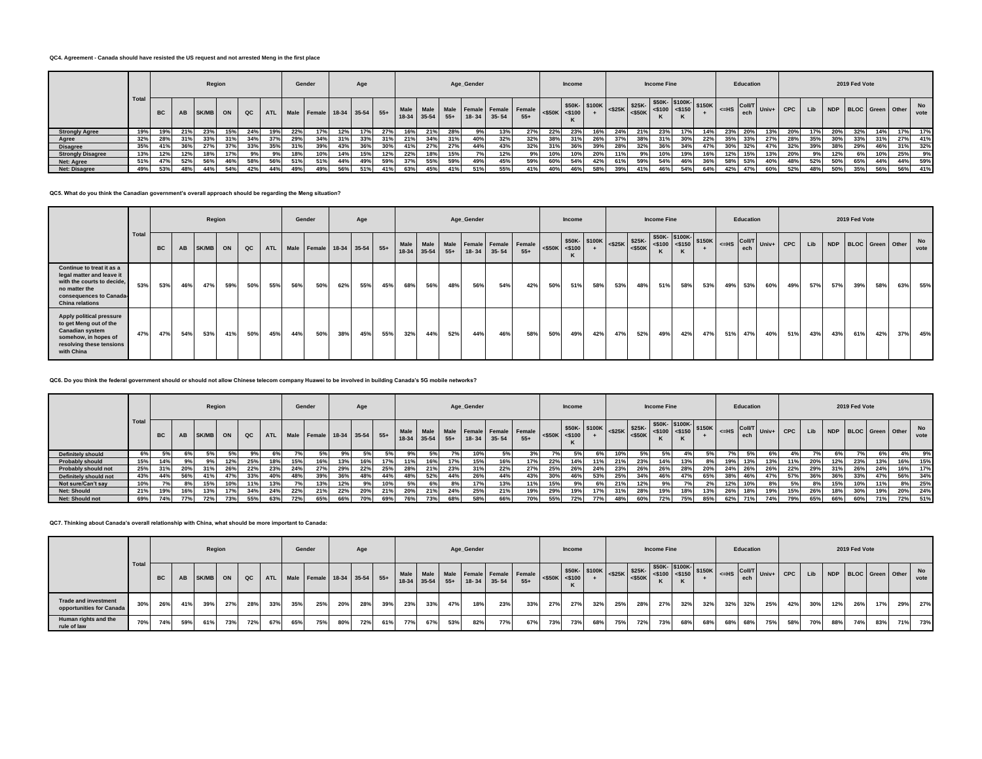## **QC4. Agreement - Canada should have resisted the US request and not arrested Meng in the first place**

|                          |       |           |     |       | Region |          |     |     | Gender                          |     | Age |                 |                   |     |     | Age_Gender |                                                      |       |                       | <b>Income</b> |     |     |     | <b>Income Fine</b> |     |     |                 | Education                                                                          |                |            |     |     | 2019 Fed Vote |                      |     |            |
|--------------------------|-------|-----------|-----|-------|--------|----------|-----|-----|---------------------------------|-----|-----|-----------------|-------------------|-----|-----|------------|------------------------------------------------------|-------|-----------------------|---------------|-----|-----|-----|--------------------|-----|-----|-----------------|------------------------------------------------------------------------------------|----------------|------------|-----|-----|---------------|----------------------|-----|------------|
|                          | Total | <b>BC</b> | AB  | SK/MB | ON     | $\alpha$ |     |     | ATL Male Female 18-34 35-54 55+ |     |     |                 | $18-34$ 35-54 55+ |     |     |            | Male Male Male Female Female Female<br>$18-34$ 35-54 | $55+$ | $<$ \$50K $\le$ \$100 |               |     |     |     | n.                 |     |     |                 | $\left  \begin{array}{c} \n\text{c} = \text{HS} \\ \text{ech} \end{array} \right $ | Coll/T Univ+ I | <b>CPC</b> | Lib |     |               | NDP BLOC Green Other |     | No<br>vote |
| <b>Strongly Agree</b>    | 19%   | 19%       | 21% | 23%   | 15%    | 24%      | 19% | 22% | 17%                             | 12% |     | 27              | 16%               | 21% | 28% |            | 13%                                                  | 27%   | 22%                   |               |     | 24% | 21% | 23%                |     |     |                 |                                                                                    | 139            | 20%        |     | 20% | 32%           |                      | 17% | 17%        |
| Agree                    | 32%   | 28%       | 31% | 33%   | 31%    | 34%      | 37% | 29% | 34%                             | 31% | 33% |                 | 21%               | 34% | 31% | 40%        | 32%                                                  | 32%   | 38%                   | 31%           | 26% | 37% | 38% | 31%                | 30% | 22% | 35%             | 33%                                                                                | 27%            | 28%        | 35% | 30% | 33%           | 31%                  | 27% | 41%        |
| <b>Disagree</b>          | 35%   | 41%       | 36% | 27%   | 37%    | 33%      | 35% | 31% | 39%                             | 43% | 36% | 30 <sup>°</sup> | 41%               | 27% | 27% | 44%        | 43%                                                  | 32%   | 31%                   | 36%           | 39% | 28% | 32% | 36%                | 34% |     | 30 <sup>o</sup> | 32%                                                                                | 47%            | 32%        | 39% | 38% | 29%           | 46%                  | 31% | 32%        |
| <b>Strongly Disagree</b> | 13%   | 12%       | 12% | 18%   | 17%    |          |     | 18% | 10%                             | 14% | 15% | 12%             | 22%               | 18% | 15% | 7%         | 12%                                                  |       | 10%                   | 10%           | 20% | 11% | 9%  | 10%                | 19% |     |                 | 15%                                                                                | 13%            | 20%        | 9%  | 12% | 6%            | 10%                  | 25% | 9%         |
| <b>Net: Agree</b>        | 51%   | 47%       | 52% | 56%   | 46%    | 58%      | 56% | 51% | 51%                             | 44% | 49% | 59%             | 37%               | 55% | 59% | 49%        | 45%                                                  | 59%   | 60%                   | 54%           | 42% | 61% | 59% | 54%                | 46% |     |                 | 53%                                                                                | 40%            | 48%        | 52% | 50% | 65%           | 44%                  | 44% | 59%        |
| <b>Net: Disagree</b>     | 49%   | 53%       | 48% | 44%   | 54%    | 42%      | 44% | 49% | 49%                             | 56% | 51% | 41%             | 63%               | 45% | 41% | 51%        | 55%                                                  | 41%   | 40%                   | 46%           | 58% | 39% | 41% | 46%                | 54% | 64% | 42%             | 47%                                                                                | 60%            | 52%        | 48% | 50% | 35%           | 56%                  | 56% | 41%        |

### **QC5. What do you think the Canadian government's overall approach should be regarding the Meng situation?**

|                                                                                                                                                            |       |     |     |       | Region |     |     |     | Gender                      |     | Age |     |       |           |       | Age_Gender  |     |                                              |           | <b>Income</b> |               |     |                     | <b>Income Fine</b>                                                              |     |     |                                 | Education |       |            |     |     | 2019 Fed Vote        |     |     |            |
|------------------------------------------------------------------------------------------------------------------------------------------------------------|-------|-----|-----|-------|--------|-----|-----|-----|-----------------------------|-----|-----|-----|-------|-----------|-------|-------------|-----|----------------------------------------------|-----------|---------------|---------------|-----|---------------------|---------------------------------------------------------------------------------|-----|-----|---------------------------------|-----------|-------|------------|-----|-----|----------------------|-----|-----|------------|
|                                                                                                                                                            | Total | BC  | AB  | SK/MB | ON     | QC  | ATL |     | Male Female 18-34 35-54 55+ |     |     |     | 18-34 | $35 - 54$ | $55+$ | 18-34 35-54 |     | Male Male Male Female Female Female<br>$55+$ | $<$ \$50K | $<$ \$100     | \$50K- \$100K |     | $ \cos 25K $ \$25K- | $\frac{1}{2}$ \$50K- \$100K- \$150K<br>$ \cdot$ K $ $ <\$50K <\$100 <\$150<br>к |     |     | $ \left $ <=HS $\right $ Coll/T | ech       | Univ+ | <b>CPC</b> | Lib |     | NDP BLOC Green Other |     |     | No<br>vote |
| Continue to treat it as a<br>legal matter and leave it<br>with the courts to decide,<br>no matter the<br>consequences to Canada-<br><b>China relations</b> | 53%   | 53% | 46% | 47%   | 59%    | 50% | 55% | 56% | 50%                         | 62% | 55% | 45% | 68%   | 56%       | 48%   | 56%         | 54% | 42%                                          | 50%       | 51%           | 58%           | 53% | 48%                 | 51%                                                                             | 58% | 53% | 49%                             | 53%       | 60%   | 49%        | 57% | 57% | 39%                  | 58% | 63% | 55%        |
| Apply political pressure<br>to get Meng out of the<br><b>Canadian system</b><br>somehow, in hopes of<br>resolving these tensions<br>with China             | 47%   | 47% | 54% | 53%   | 41%    | 50% | 45% | 44% | 50%                         | 38% | 45% | 55% | 32%   | 44%       | 52%   | 44%         | 46% | 58%                                          | 50%       | 49%           | 42%           | 47% | 52%                 | 49%                                                                             | 42% | 47% | 51%                             | 47%       | 40%   | 51%        | 43% | 43% | 61%                  | 42% | 37% | 45%        |

**QC6. Do you think the federal government should or should not allow Chinese telecom company Huawei to be involved in building Canada's 5G mobile networks?**

|                          |      |           |     | Region |     |     |            |     | Gender                      |     | Age |     |      |     |     | Age_Gender |                             |                                         |     | Income |                                                                                                                                                                                                                                                                                                                                                                                                                                                     |     |     | <b>Income Fine</b> |     |     |                                                                                                                                                          | Education |                                                                  |            |     |     | 2019 Fed Vote        |     |     |            |
|--------------------------|------|-----------|-----|--------|-----|-----|------------|-----|-----------------------------|-----|-----|-----|------|-----|-----|------------|-----------------------------|-----------------------------------------|-----|--------|-----------------------------------------------------------------------------------------------------------------------------------------------------------------------------------------------------------------------------------------------------------------------------------------------------------------------------------------------------------------------------------------------------------------------------------------------------|-----|-----|--------------------|-----|-----|----------------------------------------------------------------------------------------------------------------------------------------------------------|-----------|------------------------------------------------------------------|------------|-----|-----|----------------------|-----|-----|------------|
|                          | Tota | <b>BC</b> | AB  | SK/MB  | ON  |     | <b>ATL</b> |     | Male Female 18-34 35-54 55+ |     |     |     | Male |     |     |            | 18-34 35-54 55+ 18-34 35-54 | Male Male Female Female Female<br>$55+$ |     |        | $\left \begin{array}{cc} \text{550K} \\ \text{550K} \end{array}\right $ \$100K $\left \begin{array}{cc} \text{5100K} \\ \text{5100} \end{array}\right $ $\left \begin{array}{cc} \text{550K} \\ \text{550K} \end{array}\right $ $\left \begin{array}{cc} \text{550K} \\ \text{550K} \end{array}\right $ $\left \begin{array}{cc} \text{5100K} \\ \text{550K} \end{array}\right $ $\left \begin{array}{cc} \text{5100K} \\ \text{550K} \end{array}\$ |     |     |                    |     |     | $\left  \begin{array}{c} -\sin \theta \\ -\sin \theta \end{array} \right $ ech $\left  \begin{array}{c} \cos \theta \\ -\sin \theta \end{array} \right $ |           | $\overline{\phantom{a}}$ Coll/T Univ+ I $\overline{\phantom{a}}$ | <b>CPC</b> | Lib |     | NDP BLOC Green Other |     |     | No<br>vote |
| <b>Definitely should</b> | 6%   | 5%        | 6%  |        |     | 9%  |            |     |                             |     | 5%  |     |      |     |     | 10%        | 5%                          |                                         |     | 5%     | 6%                                                                                                                                                                                                                                                                                                                                                                                                                                                  | 10% |     |                    |     |     |                                                                                                                                                          |           |                                                                  |            |     |     |                      |     | 4%  | 9%         |
| <b>Probably should</b>   | 15%  | 14%       | 9%  | 9%.    | 12% | 25% | 18%        | 15% | 16%                         | 13% | 16% | 17% | 11%  | 16% | 17% | 15%        | 16%                         | 17%                                     | 22% | 14%    | 11%                                                                                                                                                                                                                                                                                                                                                                                                                                                 | 21% | 23% | 14%                | 13% |     | 19%                                                                                                                                                      | 13%       | 13%                                                              | 11%        | 20% | 12% | 23%                  | 13% | 16% | 15%        |
| Probably should not      | 25%  | 31%       | 20% | 31%    | 26% | 22% | 23%        | 24% | 27%                         | 29% | 22% | 25% | 28%  | 21% | 23% | 31%        | 22%                         | 27%                                     | 25% | 26%    | 24%                                                                                                                                                                                                                                                                                                                                                                                                                                                 | 23% | 26% | 26%                | 28% | 20% | 24%                                                                                                                                                      | 26%       | 26%                                                              | 22%        | 29% | 31% | 26%                  | 24% | 16% | 17%        |
| Definitely should not    | 43%  | 44%       | 56% | 41%    | 47% | 33% | 40%        | 48% | 39%                         | 36% | 48% | 44% | 48%  | 52% | 44% | 26%        | 44%                         | 43%                                     | 30% | 46%    | 53%                                                                                                                                                                                                                                                                                                                                                                                                                                                 | 25% | 34% | 46%                | 47% | 65% | 38%                                                                                                                                                      | 46%       | 47%                                                              | 57%        | 36% | 36% | 33%                  | 47% | 56% | 34%        |
| Not sure/Can't say       | 10%  |           | 8%  | 15%    | 10% | 11% | 13%        |     | 13%                         | 12% | 9%  | 10% |      |     | 8%  |            | 13%                         | 11%                                     | 15% | 9%     | 6%                                                                                                                                                                                                                                                                                                                                                                                                                                                  | 21% | 12% |                    |     |     | 12%                                                                                                                                                      |           |                                                                  | 5%         | 8%  | 15% | 10%                  | 11% | 8%  | 25%        |
| <b>Net: Should</b>       | 21%  | 19%       | 16% | 13%    | 17% | 34% | 24%        | 22% | 21%                         | 22% | 20% | 21% | 20%  | 21% | 24% | 25%        | 21%                         | 19%                                     | 29% | 19%    |                                                                                                                                                                                                                                                                                                                                                                                                                                                     |     | 28% | 19%                | 18% | 13% | 26%                                                                                                                                                      |           | 19%                                                              | 15%        | 26% | 18% | 30%                  | 19% | 20% | 24%        |
| Net: Should not          | 69%  | 74%       | 77% | 72%    | 73% | 55% | 63%        | 72% | 65%                         | 66% | 70% | 69% | 76%  | 73% | 68% | 58%        | 66%                         | 70%                                     | 55% | 72%    | 77%                                                                                                                                                                                                                                                                                                                                                                                                                                                 |     | 60% | 72%                | 75% | 85% | 62%                                                                                                                                                      |           | 74%                                                              | 79%        | 65% | 66% | 60%                  | 71% | 72% | 51%        |

#### **QC7. Thinking about Canada's overall relationship with China, what should be more important to Canada:**

|                                                         |       |           |     | Region   |     |      |     |     | Gender                          |     | Age |     |             |     |     | Age_Gender |                                                                        |       |     | Income |     |     |     | <b>Income Fine</b>                                                                                            |     |     |     | Education |                                                                              |     |         |     | 2019 Fed Vote |                      |     |                   |
|---------------------------------------------------------|-------|-----------|-----|----------|-----|------|-----|-----|---------------------------------|-----|-----|-----|-------------|-----|-----|------------|------------------------------------------------------------------------|-------|-----|--------|-----|-----|-----|---------------------------------------------------------------------------------------------------------------|-----|-----|-----|-----------|------------------------------------------------------------------------------|-----|---------|-----|---------------|----------------------|-----|-------------------|
|                                                         | Total | <b>BC</b> |     | AB SK/MB | ON  | QC I |     |     | ATL Male Female 18-34 35-54 55+ |     |     |     | 18-34 35-54 |     |     |            | Male Male Male Female Female Female <\$50K <\$100<br>$55+$ 18-34 35-54 | $55+$ |     |        |     |     |     | $550K - 100K$<br>-100 $\left(-525K - 525K - 5100K - 1500K - 150K\right)$<br>-150 $\left(-5100K - 150K\right)$ |     |     |     |           | $\left  \right $ <=HS $\left $ Coll/T $\right $ Univ+ $\left $ CPC $\right $ |     | $I$ Lib |     |               | NDP BLOC Green Other |     | <b>No</b><br>vote |
| <b>Trade and investment</b><br>opportunities for Canada | 30%   | 26%       | 41% | 39%      | 27% | 28%  | 33% | 35% | 25%                             | 20% | 28% | 39% | 23%         | 33% | 47% | 18%        | 23%                                                                    | 33%   | 27% | 27%    | 32% | 25% | 28% | 27%                                                                                                           | 32% | 32% | 32% | 32%       | 25%                                                                          | 42% | 30%     | 12% | 26%           | 17%                  | 29% | 27%               |
| Human rights and the<br>rule of law                     | 70%   | 74%       | 59% | 61%      | 73% | 72%  | 67% | 65% | 75%                             | 80% | 72% | 61% | 77%         | 67% | 53% | 82%        | 77%                                                                    | 67%   | 73% | 73%    | 68% | 75% | 72% | 73%                                                                                                           | 68% | 68% | 68% | 68%       | 75%                                                                          | 58% | 70%     | 88% | 74%           | 83%                  | 71% | 73%               |